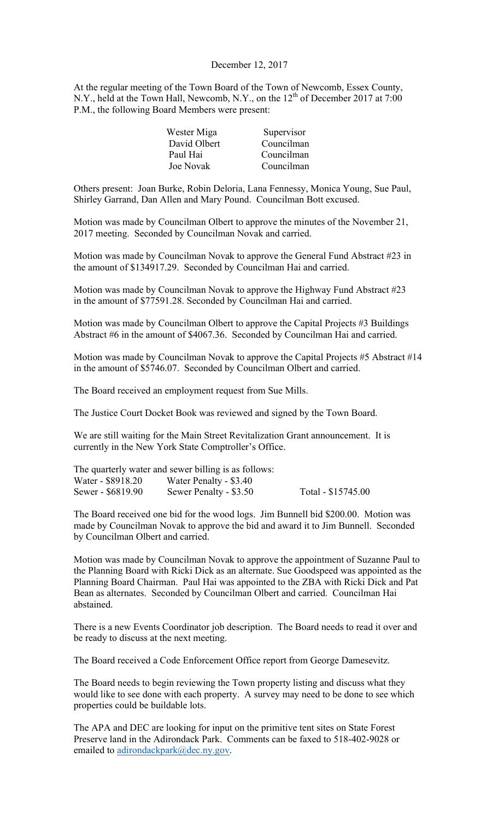#### December 12, 2017

At the regular meeting of the Town Board of the Town of Newcomb, Essex County, N.Y., held at the Town Hall, Newcomb, N.Y., on the 12<sup>th</sup> of December 2017 at 7:00 P.M., the following Board Members were present:

| Wester Miga      | Supervisor |
|------------------|------------|
| David Olbert     | Councilman |
| Paul Hai         | Councilman |
| <b>Joe Novak</b> | Councilman |

Others present: Joan Burke, Robin Deloria, Lana Fennessy, Monica Young, Sue Paul, Shirley Garrand, Dan Allen and Mary Pound. Councilman Bott excused.

Motion was made by Councilman Olbert to approve the minutes of the November 21, 2017 meeting. Seconded by Councilman Novak and carried.

Motion was made by Councilman Novak to approve the General Fund Abstract #23 in the amount of \$134917.29. Seconded by Councilman Hai and carried.

Motion was made by Councilman Novak to approve the Highway Fund Abstract #23 in the amount of \$77591.28. Seconded by Councilman Hai and carried.

Motion was made by Councilman Olbert to approve the Capital Projects #3 Buildings Abstract #6 in the amount of \$4067.36. Seconded by Councilman Hai and carried.

Motion was made by Councilman Novak to approve the Capital Projects #5 Abstract #14 in the amount of \$5746.07. Seconded by Councilman Olbert and carried.

The Board received an employment request from Sue Mills.

The Justice Court Docket Book was reviewed and signed by the Town Board.

We are still waiting for the Main Street Revitalization Grant announcement. It is currently in the New York State Comptroller's Office.

|                   | The quarterly water and sewer billing is as follows: |                    |
|-------------------|------------------------------------------------------|--------------------|
| Water - \$8918.20 | Water Penalty - \$3.40                               |                    |
| Sewer - \$6819.90 | Sewer Penalty - \$3.50                               | Total - \$15745.00 |

The Board received one bid for the wood logs. Jim Bunnell bid \$200.00. Motion was made by Councilman Novak to approve the bid and award it to Jim Bunnell. Seconded by Councilman Olbert and carried.

Motion was made by Councilman Novak to approve the appointment of Suzanne Paul to the Planning Board with Ricki Dick as an alternate. Sue Goodspeed was appointed as the Planning Board Chairman. Paul Hai was appointed to the ZBA with Ricki Dick and Pat Bean as alternates. Seconded by Councilman Olbert and carried. Councilman Hai abstained.

There is a new Events Coordinator job description. The Board needs to read it over and be ready to discuss at the next meeting.

The Board received a Code Enforcement Office report from George Damesevitz.

The Board needs to begin reviewing the Town property listing and discuss what they would like to see done with each property. A survey may need to be done to see which properties could be buildable lots.

The APA and DEC are looking for input on the primitive tent sites on State Forest Preserve land in the Adirondack Park. Comments can be faxed to 518-402-9028 or emailed to adirondackpark@dec.ny.gov.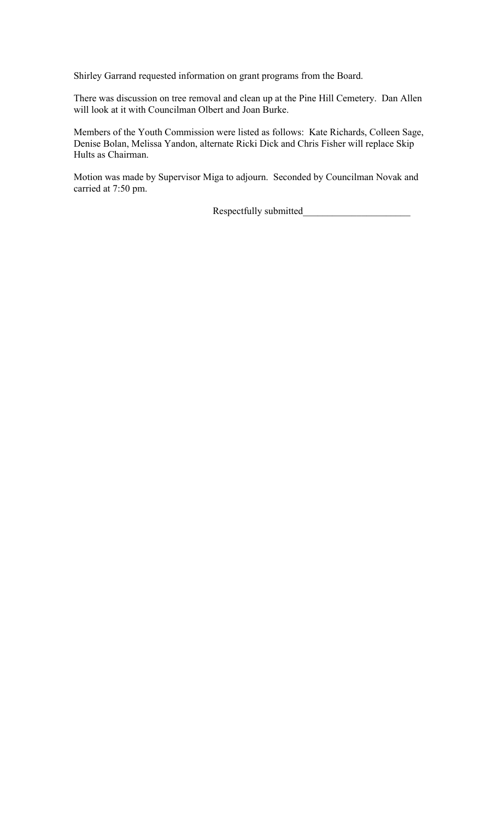Shirley Garrand requested information on grant programs from the Board.

There was discussion on tree removal and clean up at the Pine Hill Cemetery. Dan Allen will look at it with Councilman Olbert and Joan Burke.

Members of the Youth Commission were listed as follows: Kate Richards, Colleen Sage, Denise Bolan, Melissa Yandon, alternate Ricki Dick and Chris Fisher will replace Skip Hults as Chairman.

Motion was made by Supervisor Miga to adjourn. Seconded by Councilman Novak and carried at 7:50 pm.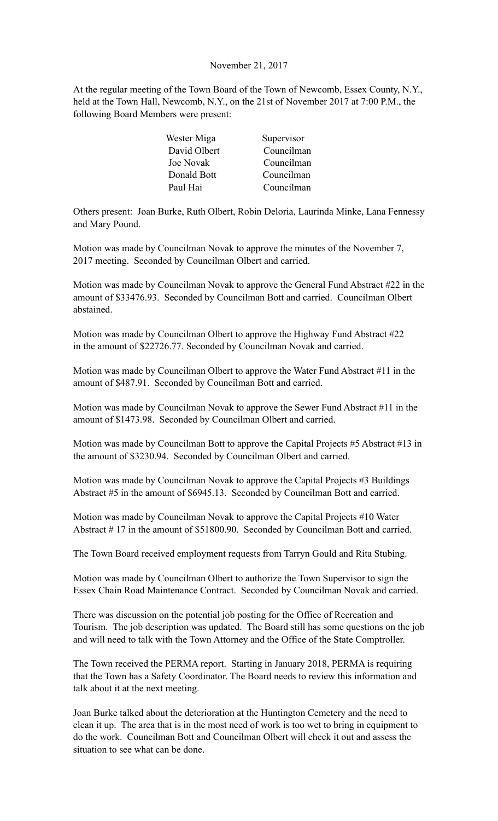#### November 21, 2017

At the regular meeting of the Town Board of the Town of Newcomb, Essex County, N.Y., held at the Town Hall, Newcomb, N.Y., on the 21st of November 2017 at 7:00 P.M., the following Board Members were present:

| Wester Miga  | Supervisor |
|--------------|------------|
| David Olbert | Councilman |
| Joe Novak    | Councilman |
| Donald Bott  | Councilman |
| Paul Hai     | Councilman |

Others present: Joan Burke, Ruth Olbert, Robin Deloria, Laurinda Minke, Lana Fennessy and Mary Pound.

Motion was made by Councilman Novak to approve the minutes of the November 7, 2017 meeting. Seconded by Councilman Olbert and carried.

Motion was made by Councilman Novak to approve the General Fund Abstract #22 in the amount of \$33476.93. Seconded by Councilman Bott and carried. Councilman Olbert abstained.

Motion was made by Councilman Olbert to approve the Highway Fund Abstract #22 in the amount of \$22726.77. Seconded by Councilman Novak and carried.

Motion was made by Councilman Olbert to approve the Water Fund Abstract #11 in the amount of \$487.91. Seconded by Councilman Bott and carried.

Motion was made by Councilman Novak to approve the Sewer Fund Abstract #11 in the amount of \$1473.98. Seconded by Councilman Olbert and carried.

Motion was made by Councilman Bott to approve the Capital Projects #5 Abstract #13 in the amount of \$3230.94. Seconded by Councilman Olbert and carried.

Motion was made by Councilman Novak to approve the Capital Projects #3 Buildings Abstract #5 in the amount of \$6945.13. Seconded by Councilman Bott and carried.

Motion was made by Councilman Novak to approve the Capital Projects #10 Water Abstract # 17 in the amount of \$51800.90. Seconded by Councilman Bott and carried.

The Town Board received employment requests from Tarryn Gould and Rita Stubing.

Motion was made by Councilman Olbert to authorize the Town Supervisor to sign the Essex Chain Road Maintenance Contract. Seconded by Councilman Novak and carried.

There was discussion on the potential job posting for the Office of Recreation and Tourism. The job description was updated. The Board still has some questions on the job and will need to talk with the Town Attorney and the Office of the State Comptroller.

The Town received the PERMA report. Starting in January 2018, PERMA is requiring that the Town has a Safety Coordinator. The Board needs to review this information and talk about it at the next meeting.

Joan Burke talked about the deterioration at the Huntington Cemetery and the need to clean it up. The area that is in the most need of work is too wet to bring in equipment to do the work. Councilman Bott and Councilman Olbert will check it out and assess the situation to see what can be done.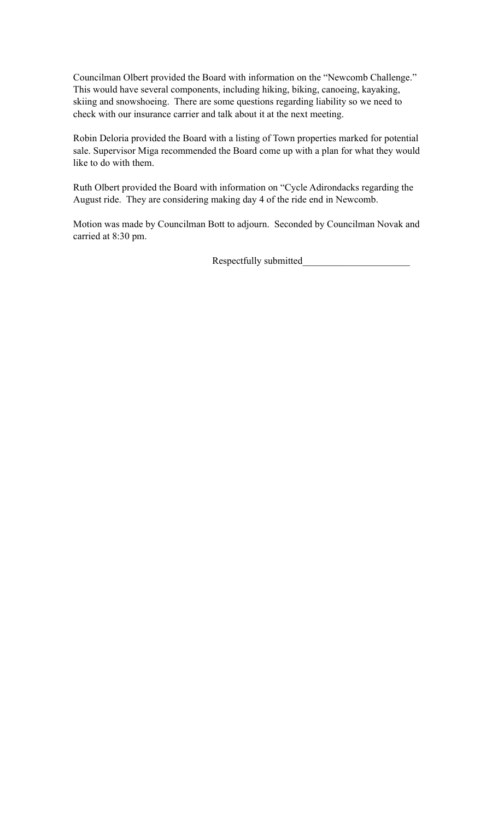Councilman Olbert provided the Board with information on the "Newcomb Challenge." This would have several components, including hiking, biking, canoeing, kayaking, skiing and snowshoeing. There are some questions regarding liability so we need to check with our insurance carrier and talk about it at the next meeting.

Robin Deloria provided the Board with a listing of Town properties marked for potential sale. Supervisor Miga recommended the Board come up with a plan for what they would like to do with them.

Ruth Olbert provided the Board with information on "Cycle Adirondacks regarding the August ride. They are considering making day 4 of the ride end in Newcomb.

Motion was made by Councilman Bott to adjourn. Seconded by Councilman Novak and carried at 8:30 pm.

Respectfully submitted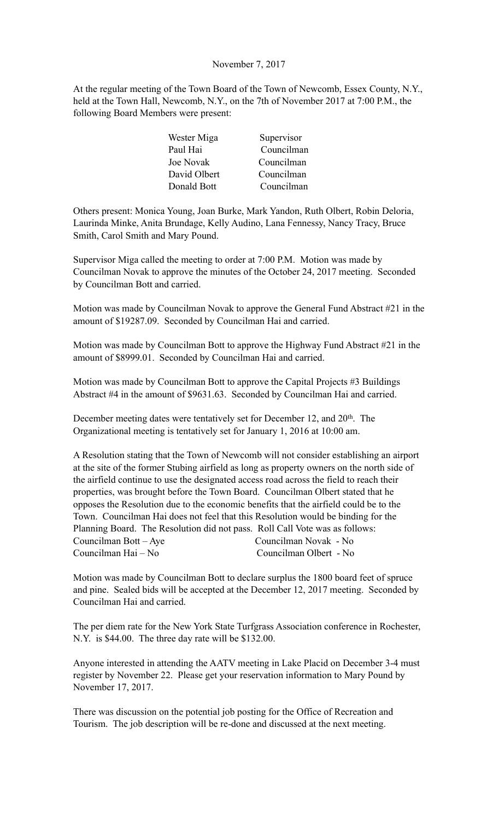# November 7, 2017

At the regular meeting of the Town Board of the Town of Newcomb, Essex County, N.Y., held at the Town Hall, Newcomb, N.Y., on the 7th of November 2017 at 7:00 P.M., the following Board Members were present:

| Wester Miga      | Supervisor |
|------------------|------------|
| Paul Hai         | Councilman |
| <b>Joe Novak</b> | Councilman |
| David Olbert     | Councilman |
| Donald Bott      | Councilman |

Others present: Monica Young, Joan Burke, Mark Yandon, Ruth Olbert, Robin Deloria, Laurinda Minke, Anita Brundage, Kelly Audino, Lana Fennessy, Nancy Tracy, Bruce Smith, Carol Smith and Mary Pound.

Supervisor Miga called the meeting to order at 7:00 P.M. Motion was made by Councilman Novak to approve the minutes of the October 24, 2017 meeting. Seconded by Councilman Bott and carried.

Motion was made by Councilman Novak to approve the General Fund Abstract #21 in the amount of \$19287.09. Seconded by Councilman Hai and carried.

Motion was made by Councilman Bott to approve the Highway Fund Abstract #21 in the amount of \$8999.01. Seconded by Councilman Hai and carried.

Motion was made by Councilman Bott to approve the Capital Projects #3 Buildings Abstract #4 in the amount of \$9631.63. Seconded by Councilman Hai and carried.

December meeting dates were tentatively set for December 12, and 20th. The Organizational meeting is tentatively set for January 1, 2016 at 10:00 am.

A Resolution stating that the Town of Newcomb will not consider establishing an airport at the site of the former Stubing airfield as long as property owners on the north side of the airfield continue to use the designated access road across the field to reach their properties, was brought before the Town Board. Councilman Olbert stated that he opposes the Resolution due to the economic benefits that the airfield could be to the Town. Councilman Hai does not feel that this Resolution would be binding for the Planning Board. The Resolution did not pass. Roll Call Vote was as follows: Councilman Bott – Aye Councilman Novak - No Councilman Hai – No Councilman Olbert - No

Motion was made by Councilman Bott to declare surplus the 1800 board feet of spruce and pine. Sealed bids will be accepted at the December 12, 2017 meeting. Seconded by Councilman Hai and carried.

The per diem rate for the New York State Turfgrass Association conference in Rochester, N.Y. is \$44.00. The three day rate will be \$132.00.

Anyone interested in attending the AATV meeting in Lake Placid on December 3-4 must register by November 22. Please get your reservation information to Mary Pound by November 17, 2017.

There was discussion on the potential job posting for the Office of Recreation and Tourism. The job description will be re-done and discussed at the next meeting.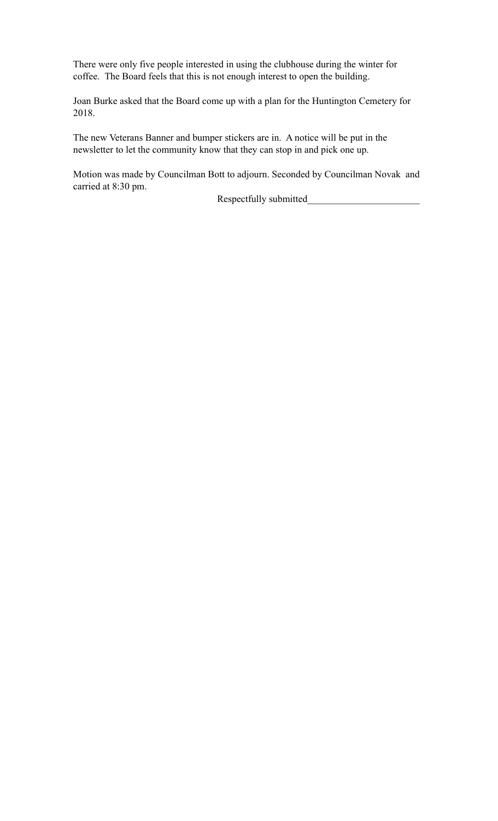There were only five people interested in using the clubhouse during the winter for coffee. The Board feels that this is not enough interest to open the building.

Joan Burke asked that the Board come up with a plan for the Huntington Cemetery for 2018.

The new Veterans Banner and bumper stickers are in. A notice will be put in the newsletter to let the community know that they can stop in and pick one up.

Motion was made by Councilman Bott to adjourn. Seconded by Councilman Novak and carried at 8:30 pm.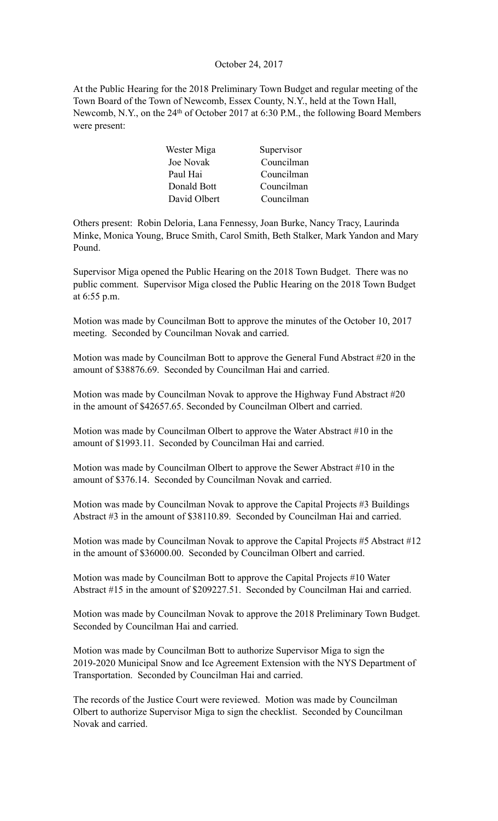#### October 24, 2017

At the Public Hearing for the 2018 Preliminary Town Budget and regular meeting of the Town Board of the Town of Newcomb, Essex County, N.Y., held at the Town Hall, Newcomb, N.Y., on the 24<sup>th</sup> of October 2017 at 6:30 P.M., the following Board Members were present:

| Wester Miga  | Supervisor |
|--------------|------------|
| Joe Novak    | Councilman |
| Paul Hai     | Councilman |
| Donald Bott  | Councilman |
| David Olbert | Councilman |

Others present: Robin Deloria, Lana Fennessy, Joan Burke, Nancy Tracy, Laurinda Minke, Monica Young, Bruce Smith, Carol Smith, Beth Stalker, Mark Yandon and Mary Pound.

Supervisor Miga opened the Public Hearing on the 2018 Town Budget. There was no public comment. Supervisor Miga closed the Public Hearing on the 2018 Town Budget at 6:55 p.m.

Motion was made by Councilman Bott to approve the minutes of the October 10, 2017 meeting. Seconded by Councilman Novak and carried.

Motion was made by Councilman Bott to approve the General Fund Abstract #20 in the amount of \$38876.69. Seconded by Councilman Hai and carried.

Motion was made by Councilman Novak to approve the Highway Fund Abstract #20 in the amount of \$42657.65. Seconded by Councilman Olbert and carried.

Motion was made by Councilman Olbert to approve the Water Abstract #10 in the amount of \$1993.11. Seconded by Councilman Hai and carried.

Motion was made by Councilman Olbert to approve the Sewer Abstract #10 in the amount of \$376.14. Seconded by Councilman Novak and carried.

Motion was made by Councilman Novak to approve the Capital Projects #3 Buildings Abstract #3 in the amount of \$38110.89. Seconded by Councilman Hai and carried.

Motion was made by Councilman Novak to approve the Capital Projects #5 Abstract #12 in the amount of \$36000.00. Seconded by Councilman Olbert and carried.

Motion was made by Councilman Bott to approve the Capital Projects #10 Water Abstract #15 in the amount of \$209227.51. Seconded by Councilman Hai and carried.

Motion was made by Councilman Novak to approve the 2018 Preliminary Town Budget. Seconded by Councilman Hai and carried.

Motion was made by Councilman Bott to authorize Supervisor Miga to sign the 2019-2020 Municipal Snow and Ice Agreement Extension with the NYS Department of Transportation. Seconded by Councilman Hai and carried.

The records of the Justice Court were reviewed. Motion was made by Councilman Olbert to authorize Supervisor Miga to sign the checklist. Seconded by Councilman Novak and carried.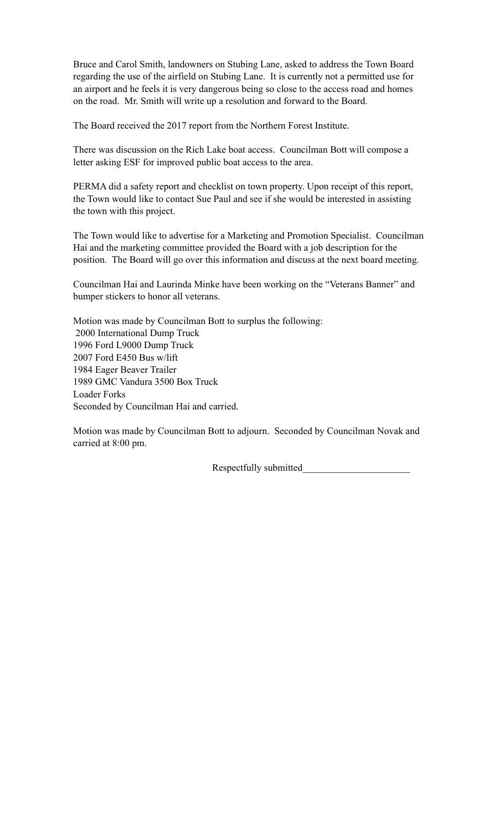Bruce and Carol Smith, landowners on Stubing Lane, asked to address the Town Board regarding the use of the airfield on Stubing Lane. It is currently not a permitted use for an airport and he feels it is very dangerous being so close to the access road and homes on the road. Mr. Smith will write up a resolution and forward to the Board.

The Board received the 2017 report from the Northern Forest Institute.

There was discussion on the Rich Lake boat access. Councilman Bott will compose a letter asking ESF for improved public boat access to the area.

PERMA did a safety report and checklist on town property. Upon receipt of this report, the Town would like to contact Sue Paul and see if she would be interested in assisting the town with this project.

The Town would like to advertise for a Marketing and Promotion Specialist. Councilman Hai and the marketing committee provided the Board with a job description for the position. The Board will go over this information and discuss at the next board meeting.

Councilman Hai and Laurinda Minke have been working on the "Veterans Banner" and bumper stickers to honor all veterans.

Motion was made by Councilman Bott to surplus the following: 2000 International Dump Truck 1996 Ford L9000 Dump Truck 2007 Ford E450 Bus w/lift 1984 Eager Beaver Trailer 1989 GMC Vandura 3500 Box Truck Loader Forks Seconded by Councilman Hai and carried.

Motion was made by Councilman Bott to adjourn. Seconded by Councilman Novak and carried at 8:00 pm.

Respectfully submitted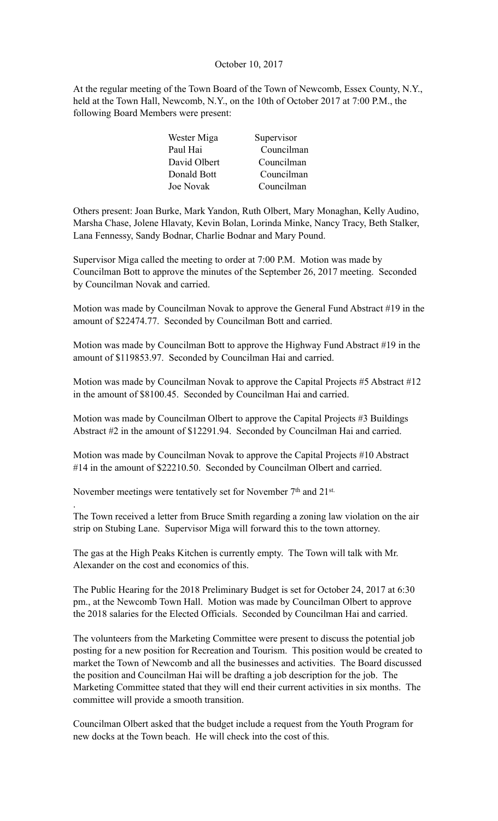## October 10, 2017

At the regular meeting of the Town Board of the Town of Newcomb, Essex County, N.Y., held at the Town Hall, Newcomb, N.Y., on the 10th of October 2017 at 7:00 P.M., the following Board Members were present:

| Wester Miga      | Supervisor |
|------------------|------------|
| Paul Hai         | Councilman |
| David Olbert     | Councilman |
| Donald Bott      | Councilman |
| <b>Joe Novak</b> | Councilman |

Others present: Joan Burke, Mark Yandon, Ruth Olbert, Mary Monaghan, Kelly Audino, Marsha Chase, Jolene Hlavaty, Kevin Bolan, Lorinda Minke, Nancy Tracy, Beth Stalker, Lana Fennessy, Sandy Bodnar, Charlie Bodnar and Mary Pound.

Supervisor Miga called the meeting to order at 7:00 P.M. Motion was made by Councilman Bott to approve the minutes of the September 26, 2017 meeting. Seconded by Councilman Novak and carried.

Motion was made by Councilman Novak to approve the General Fund Abstract #19 in the amount of \$22474.77. Seconded by Councilman Bott and carried.

Motion was made by Councilman Bott to approve the Highway Fund Abstract #19 in the amount of \$119853.97. Seconded by Councilman Hai and carried.

Motion was made by Councilman Novak to approve the Capital Projects #5 Abstract #12 in the amount of \$8100.45. Seconded by Councilman Hai and carried.

Motion was made by Councilman Olbert to approve the Capital Projects #3 Buildings Abstract #2 in the amount of \$12291.94. Seconded by Councilman Hai and carried.

Motion was made by Councilman Novak to approve the Capital Projects #10 Abstract #14 in the amount of \$22210.50. Seconded by Councilman Olbert and carried.

November meetings were tentatively set for November 7<sup>th</sup> and 21<sup>st.</sup>

.

The Town received a letter from Bruce Smith regarding a zoning law violation on the air strip on Stubing Lane. Supervisor Miga will forward this to the town attorney.

The gas at the High Peaks Kitchen is currently empty. The Town will talk with Mr. Alexander on the cost and economics of this.

The Public Hearing for the 2018 Preliminary Budget is set for October 24, 2017 at 6:30 pm., at the Newcomb Town Hall. Motion was made by Councilman Olbert to approve the 2018 salaries for the Elected Officials. Seconded by Councilman Hai and carried.

The volunteers from the Marketing Committee were present to discuss the potential job posting for a new position for Recreation and Tourism. This position would be created to market the Town of Newcomb and all the businesses and activities. The Board discussed the position and Councilman Hai will be drafting a job description for the job. The Marketing Committee stated that they will end their current activities in six months. The committee will provide a smooth transition.

Councilman Olbert asked that the budget include a request from the Youth Program for new docks at the Town beach. He will check into the cost of this.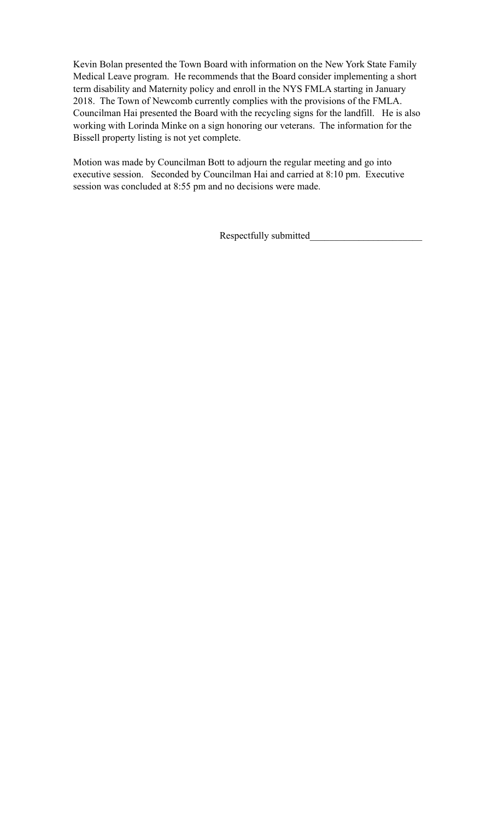Kevin Bolan presented the Town Board with information on the New York State Family Medical Leave program. He recommends that the Board consider implementing a short term disability and Maternity policy and enroll in the NYS FMLA starting in January 2018. The Town of Newcomb currently complies with the provisions of the FMLA. Councilman Hai presented the Board with the recycling signs for the landfill. He is also working with Lorinda Minke on a sign honoring our veterans. The information for the Bissell property listing is not yet complete.

Motion was made by Councilman Bott to adjourn the regular meeting and go into executive session. Seconded by Councilman Hai and carried at 8:10 pm. Executive session was concluded at 8:55 pm and no decisions were made.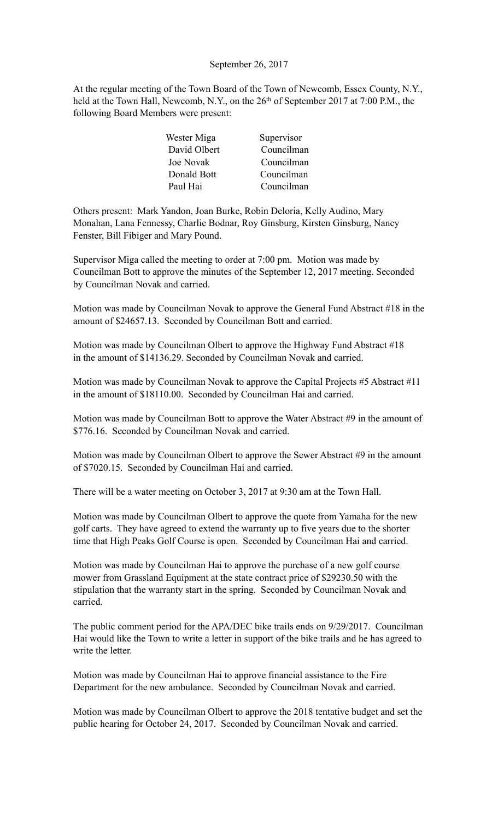## September 26, 2017

At the regular meeting of the Town Board of the Town of Newcomb, Essex County, N.Y., held at the Town Hall, Newcomb, N.Y., on the 26<sup>th</sup> of September 2017 at 7:00 P.M., the following Board Members were present:

| Wester Miga  | Supervisor |
|--------------|------------|
| David Olbert | Councilman |
| Joe Novak    | Councilman |
| Donald Bott  | Councilman |
| Paul Hai     | Councilman |

Others present: Mark Yandon, Joan Burke, Robin Deloria, Kelly Audino, Mary Monahan, Lana Fennessy, Charlie Bodnar, Roy Ginsburg, Kirsten Ginsburg, Nancy Fenster, Bill Fibiger and Mary Pound.

Supervisor Miga called the meeting to order at 7:00 pm. Motion was made by Councilman Bott to approve the minutes of the September 12, 2017 meeting. Seconded by Councilman Novak and carried.

Motion was made by Councilman Novak to approve the General Fund Abstract #18 in the amount of \$24657.13. Seconded by Councilman Bott and carried.

Motion was made by Councilman Olbert to approve the Highway Fund Abstract #18 in the amount of \$14136.29. Seconded by Councilman Novak and carried.

Motion was made by Councilman Novak to approve the Capital Projects #5 Abstract #11 in the amount of \$18110.00. Seconded by Councilman Hai and carried.

Motion was made by Councilman Bott to approve the Water Abstract #9 in the amount of \$776.16. Seconded by Councilman Novak and carried.

Motion was made by Councilman Olbert to approve the Sewer Abstract #9 in the amount of \$7020.15. Seconded by Councilman Hai and carried.

There will be a water meeting on October 3, 2017 at 9:30 am at the Town Hall.

Motion was made by Councilman Olbert to approve the quote from Yamaha for the new golf carts. They have agreed to extend the warranty up to five years due to the shorter time that High Peaks Golf Course is open. Seconded by Councilman Hai and carried.

Motion was made by Councilman Hai to approve the purchase of a new golf course mower from Grassland Equipment at the state contract price of \$29230.50 with the stipulation that the warranty start in the spring. Seconded by Councilman Novak and carried.

The public comment period for the APA/DEC bike trails ends on 9/29/2017. Councilman Hai would like the Town to write a letter in support of the bike trails and he has agreed to write the letter.

Motion was made by Councilman Hai to approve financial assistance to the Fire Department for the new ambulance. Seconded by Councilman Novak and carried.

Motion was made by Councilman Olbert to approve the 2018 tentative budget and set the public hearing for October 24, 2017. Seconded by Councilman Novak and carried.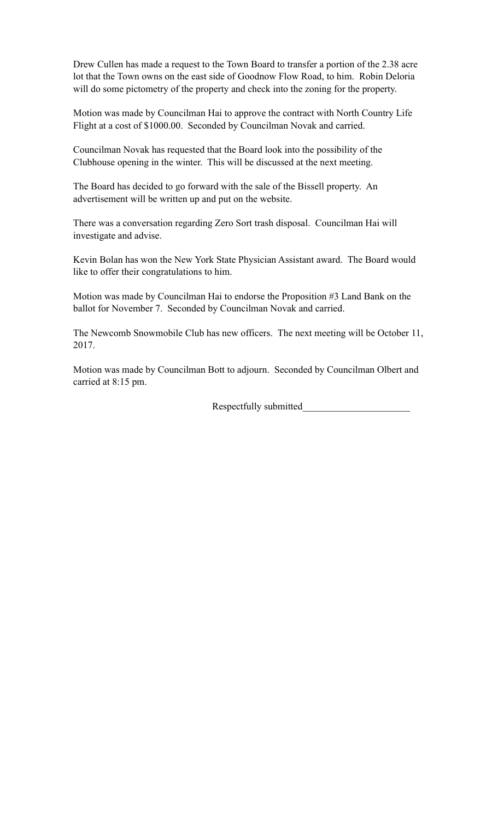Drew Cullen has made a request to the Town Board to transfer a portion of the 2.38 acre lot that the Town owns on the east side of Goodnow Flow Road, to him. Robin Deloria will do some pictometry of the property and check into the zoning for the property.

Motion was made by Councilman Hai to approve the contract with North Country Life Flight at a cost of \$1000.00. Seconded by Councilman Novak and carried.

Councilman Novak has requested that the Board look into the possibility of the Clubhouse opening in the winter. This will be discussed at the next meeting.

The Board has decided to go forward with the sale of the Bissell property. An advertisement will be written up and put on the website.

There was a conversation regarding Zero Sort trash disposal. Councilman Hai will investigate and advise.

Kevin Bolan has won the New York State Physician Assistant award. The Board would like to offer their congratulations to him.

Motion was made by Councilman Hai to endorse the Proposition #3 Land Bank on the ballot for November 7. Seconded by Councilman Novak and carried.

The Newcomb Snowmobile Club has new officers. The next meeting will be October 11, 2017.

Motion was made by Councilman Bott to adjourn. Seconded by Councilman Olbert and carried at 8:15 pm.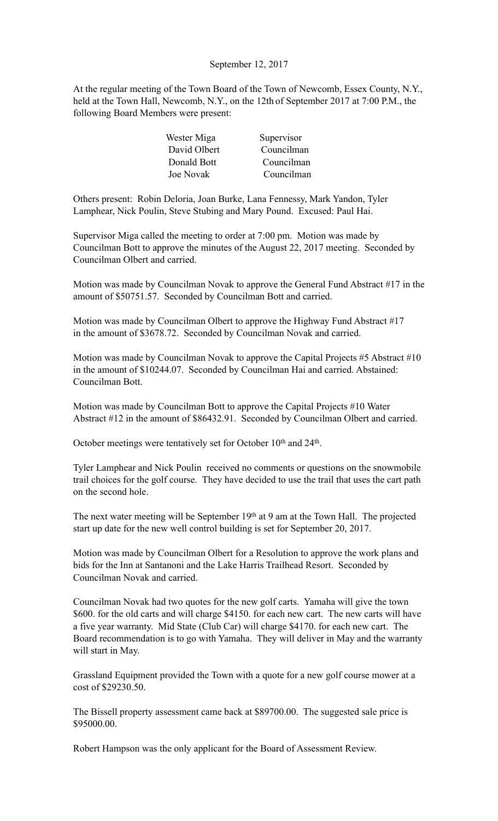# September 12, 2017

At the regular meeting of the Town Board of the Town of Newcomb, Essex County, N.Y., held at the Town Hall, Newcomb, N.Y., on the 12th of September 2017 at 7:00 P.M., the following Board Members were present:

| Wester Miga  | Supervisor |
|--------------|------------|
| David Olbert | Councilman |
| Donald Bott  | Councilman |
| Joe Novak    | Councilman |

Others present: Robin Deloria, Joan Burke, Lana Fennessy, Mark Yandon, Tyler Lamphear, Nick Poulin, Steve Stubing and Mary Pound. Excused: Paul Hai.

Supervisor Miga called the meeting to order at 7:00 pm. Motion was made by Councilman Bott to approve the minutes of the August 22, 2017 meeting. Seconded by Councilman Olbert and carried.

Motion was made by Councilman Novak to approve the General Fund Abstract #17 in the amount of \$50751.57. Seconded by Councilman Bott and carried.

Motion was made by Councilman Olbert to approve the Highway Fund Abstract #17 in the amount of \$3678.72. Seconded by Councilman Novak and carried.

Motion was made by Councilman Novak to approve the Capital Projects #5 Abstract #10 in the amount of \$10244.07. Seconded by Councilman Hai and carried. Abstained: Councilman Bott.

Motion was made by Councilman Bott to approve the Capital Projects #10 Water Abstract #12 in the amount of \$86432.91. Seconded by Councilman Olbert and carried.

October meetings were tentatively set for October 10<sup>th</sup> and 24<sup>th</sup>.

Tyler Lamphear and Nick Poulin received no comments or questions on the snowmobile trail choices for the golf course. They have decided to use the trail that uses the cart path on the second hole.

The next water meeting will be September 19<sup>th</sup> at 9 am at the Town Hall. The projected start up date for the new well control building is set for September 20, 2017.

Motion was made by Councilman Olbert for a Resolution to approve the work plans and bids for the Inn at Santanoni and the Lake Harris Trailhead Resort. Seconded by Councilman Novak and carried.

Councilman Novak had two quotes for the new golf carts. Yamaha will give the town \$600. for the old carts and will charge \$4150. for each new cart. The new carts will have a five year warranty. Mid State (Club Car) will charge \$4170. for each new cart. The Board recommendation is to go with Yamaha. They will deliver in May and the warranty will start in May.

Grassland Equipment provided the Town with a quote for a new golf course mower at a cost of \$29230.50.

The Bissell property assessment came back at \$89700.00. The suggested sale price is \$95000.00.

Robert Hampson was the only applicant for the Board of Assessment Review.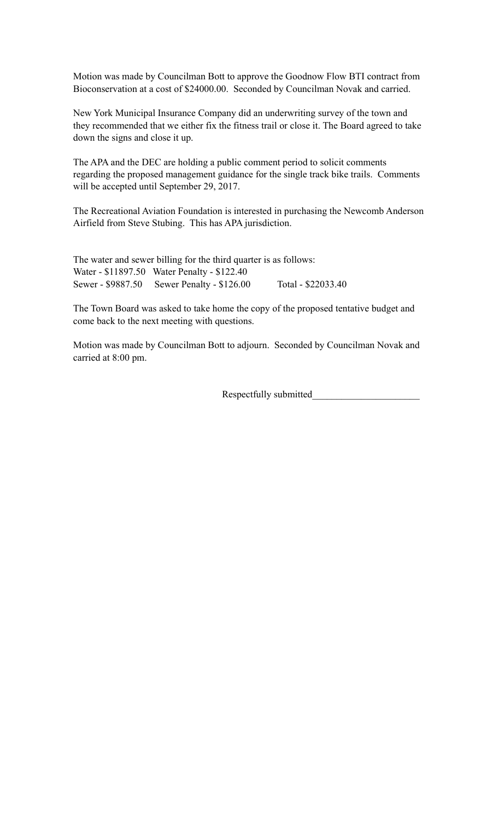Motion was made by Councilman Bott to approve the Goodnow Flow BTI contract from Bioconservation at a cost of \$24000.00. Seconded by Councilman Novak and carried.

New York Municipal Insurance Company did an underwriting survey of the town and they recommended that we either fix the fitness trail or close it. The Board agreed to take down the signs and close it up.

The APA and the DEC are holding a public comment period to solicit comments regarding the proposed management guidance for the single track bike trails. Comments will be accepted until September 29, 2017.

The Recreational Aviation Foundation is interested in purchasing the Newcomb Anderson Airfield from Steve Stubing. This has APA jurisdiction.

The water and sewer billing for the third quarter is as follows: Water - \$11897.50 Water Penalty - \$122.40 Sewer - \$9887.50 Sewer Penalty - \$126.00 Total - \$22033.40

The Town Board was asked to take home the copy of the proposed tentative budget and come back to the next meeting with questions.

Motion was made by Councilman Bott to adjourn. Seconded by Councilman Novak and carried at 8:00 pm.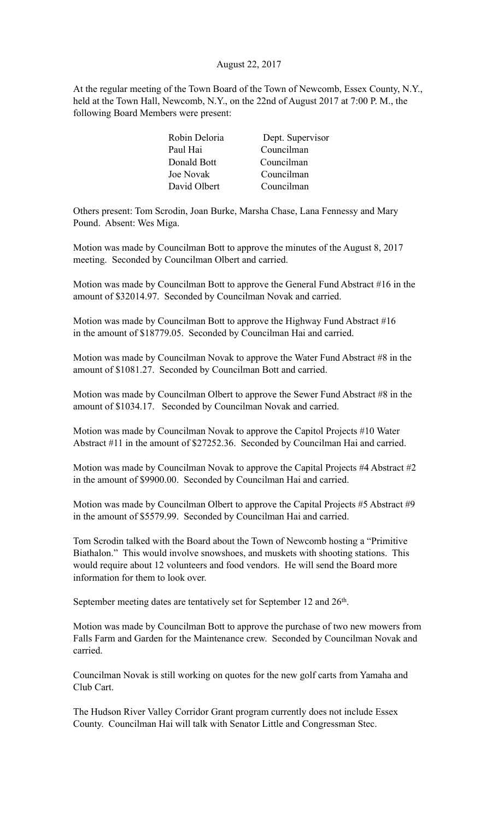## August 22, 2017

At the regular meeting of the Town Board of the Town of Newcomb, Essex County, N.Y., held at the Town Hall, Newcomb, N.Y., on the 22nd of August 2017 at 7:00 P. M., the following Board Members were present:

| Robin Deloria | Dept. Supervisor |
|---------------|------------------|
| Paul Hai      | Councilman       |
| Donald Bott   | Councilman       |
| Joe Novak     | Councilman       |
| David Olbert  | Councilman       |

Others present: Tom Scrodin, Joan Burke, Marsha Chase, Lana Fennessy and Mary Pound. Absent: Wes Miga.

Motion was made by Councilman Bott to approve the minutes of the August 8, 2017 meeting. Seconded by Councilman Olbert and carried.

Motion was made by Councilman Bott to approve the General Fund Abstract #16 in the amount of \$32014.97. Seconded by Councilman Novak and carried.

Motion was made by Councilman Bott to approve the Highway Fund Abstract #16 in the amount of \$18779.05. Seconded by Councilman Hai and carried.

Motion was made by Councilman Novak to approve the Water Fund Abstract #8 in the amount of \$1081.27. Seconded by Councilman Bott and carried.

Motion was made by Councilman Olbert to approve the Sewer Fund Abstract #8 in the amount of \$1034.17. Seconded by Councilman Novak and carried.

Motion was made by Councilman Novak to approve the Capitol Projects #10 Water Abstract #11 in the amount of \$27252.36. Seconded by Councilman Hai and carried.

Motion was made by Councilman Novak to approve the Capital Projects #4 Abstract #2 in the amount of \$9900.00. Seconded by Councilman Hai and carried.

Motion was made by Councilman Olbert to approve the Capital Projects #5 Abstract #9 in the amount of \$5579.99. Seconded by Councilman Hai and carried.

Tom Scrodin talked with the Board about the Town of Newcomb hosting a "Primitive Biathalon." This would involve snowshoes, and muskets with shooting stations. This would require about 12 volunteers and food vendors. He will send the Board more information for them to look over.

September meeting dates are tentatively set for September 12 and 26<sup>th</sup>.

Motion was made by Councilman Bott to approve the purchase of two new mowers from Falls Farm and Garden for the Maintenance crew. Seconded by Councilman Novak and carried.

Councilman Novak is still working on quotes for the new golf carts from Yamaha and Club Cart.

The Hudson River Valley Corridor Grant program currently does not include Essex County. Councilman Hai will talk with Senator Little and Congressman Stec.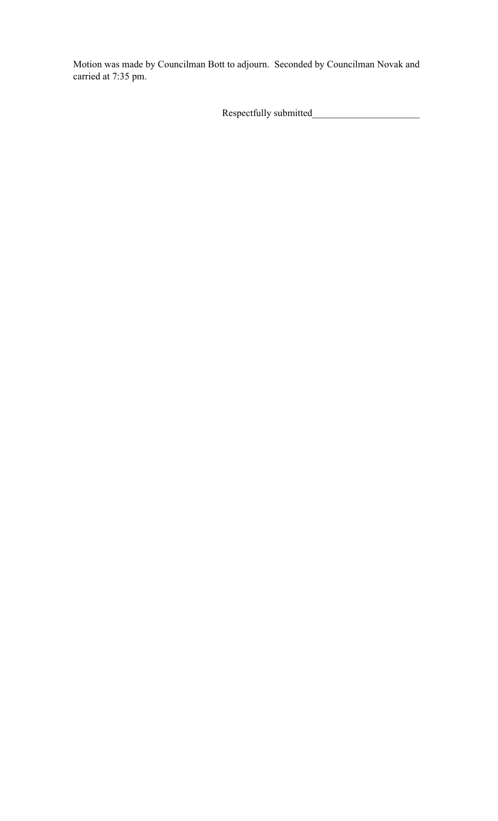Motion was made by Councilman Bott to adjourn. Seconded by Councilman Novak and carried at 7:35 pm.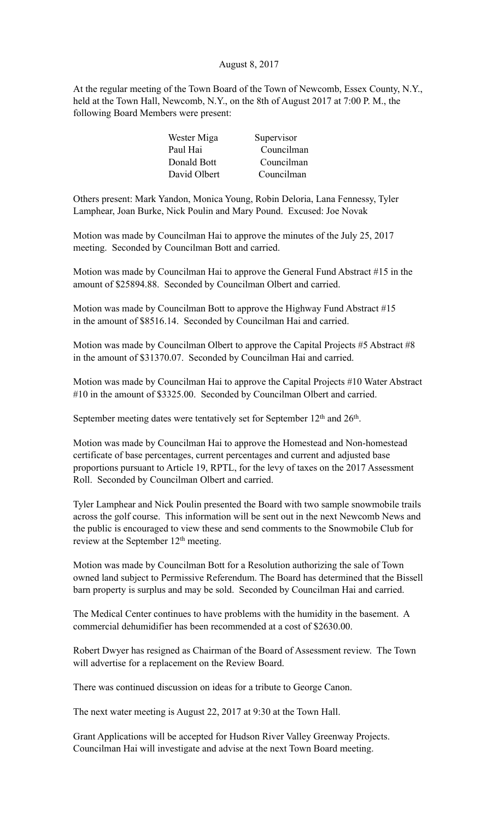## August 8, 2017

At the regular meeting of the Town Board of the Town of Newcomb, Essex County, N.Y., held at the Town Hall, Newcomb, N.Y., on the 8th of August 2017 at 7:00 P. M., the following Board Members were present:

| Wester Miga  | Supervisor |
|--------------|------------|
| Paul Hai     | Councilman |
| Donald Bott  | Councilman |
| David Olbert | Councilman |

Others present: Mark Yandon, Monica Young, Robin Deloria, Lana Fennessy, Tyler Lamphear, Joan Burke, Nick Poulin and Mary Pound. Excused: Joe Novak

Motion was made by Councilman Hai to approve the minutes of the July 25, 2017 meeting. Seconded by Councilman Bott and carried.

Motion was made by Councilman Hai to approve the General Fund Abstract #15 in the amount of \$25894.88. Seconded by Councilman Olbert and carried.

Motion was made by Councilman Bott to approve the Highway Fund Abstract #15 in the amount of \$8516.14. Seconded by Councilman Hai and carried.

Motion was made by Councilman Olbert to approve the Capital Projects #5 Abstract #8 in the amount of \$31370.07. Seconded by Councilman Hai and carried.

Motion was made by Councilman Hai to approve the Capital Projects #10 Water Abstract #10 in the amount of \$3325.00. Seconded by Councilman Olbert and carried.

September meeting dates were tentatively set for September 12<sup>th</sup> and 26<sup>th</sup>.

Motion was made by Councilman Hai to approve the Homestead and Non-homestead certificate of base percentages, current percentages and current and adjusted base proportions pursuant to Article 19, RPTL, for the levy of taxes on the 2017 Assessment Roll. Seconded by Councilman Olbert and carried.

Tyler Lamphear and Nick Poulin presented the Board with two sample snowmobile trails across the golf course. This information will be sent out in the next Newcomb News and the public is encouraged to view these and send comments to the Snowmobile Club for review at the September 12<sup>th</sup> meeting.

Motion was made by Councilman Bott for a Resolution authorizing the sale of Town owned land subject to Permissive Referendum. The Board has determined that the Bissell barn property is surplus and may be sold. Seconded by Councilman Hai and carried.

The Medical Center continues to have problems with the humidity in the basement. A commercial dehumidifier has been recommended at a cost of \$2630.00.

Robert Dwyer has resigned as Chairman of the Board of Assessment review. The Town will advertise for a replacement on the Review Board.

There was continued discussion on ideas for a tribute to George Canon.

The next water meeting is August 22, 2017 at 9:30 at the Town Hall.

Grant Applications will be accepted for Hudson River Valley Greenway Projects. Councilman Hai will investigate and advise at the next Town Board meeting.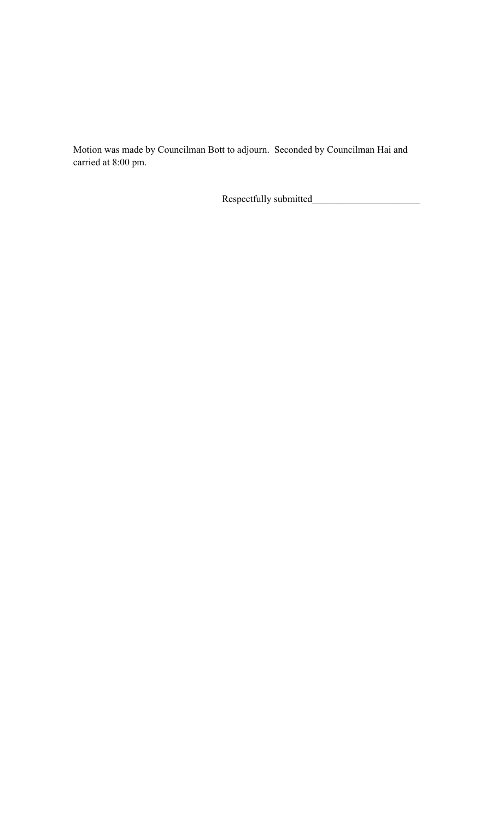Motion was made by Councilman Bott to adjourn. Seconded by Councilman Hai and carried at 8:00 pm.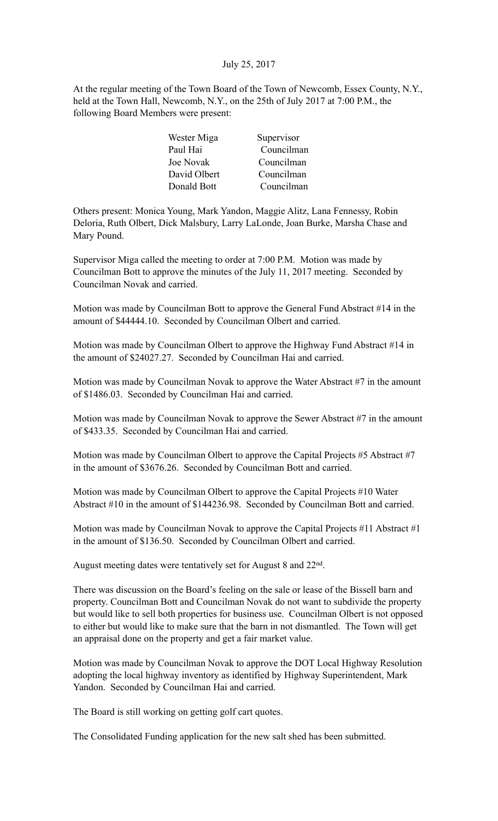# July 25, 2017

At the regular meeting of the Town Board of the Town of Newcomb, Essex County, N.Y., held at the Town Hall, Newcomb, N.Y., on the 25th of July 2017 at 7:00 P.M., the following Board Members were present:

| Wester Miga      | Supervisor |
|------------------|------------|
| Paul Hai         | Councilman |
| <b>Joe Novak</b> | Councilman |
| David Olbert     | Councilman |
| Donald Bott      | Councilman |

Others present: Monica Young, Mark Yandon, Maggie Alitz, Lana Fennessy, Robin Deloria, Ruth Olbert, Dick Malsbury, Larry LaLonde, Joan Burke, Marsha Chase and Mary Pound.

Supervisor Miga called the meeting to order at 7:00 P.M. Motion was made by Councilman Bott to approve the minutes of the July 11, 2017 meeting. Seconded by Councilman Novak and carried.

Motion was made by Councilman Bott to approve the General Fund Abstract #14 in the amount of \$44444.10. Seconded by Councilman Olbert and carried.

Motion was made by Councilman Olbert to approve the Highway Fund Abstract #14 in the amount of \$24027.27. Seconded by Councilman Hai and carried.

Motion was made by Councilman Novak to approve the Water Abstract #7 in the amount of \$1486.03. Seconded by Councilman Hai and carried.

Motion was made by Councilman Novak to approve the Sewer Abstract #7 in the amount of \$433.35. Seconded by Councilman Hai and carried.

Motion was made by Councilman Olbert to approve the Capital Projects #5 Abstract #7 in the amount of \$3676.26. Seconded by Councilman Bott and carried.

Motion was made by Councilman Olbert to approve the Capital Projects #10 Water Abstract #10 in the amount of \$144236.98. Seconded by Councilman Bott and carried.

Motion was made by Councilman Novak to approve the Capital Projects #11 Abstract #1 in the amount of \$136.50. Seconded by Councilman Olbert and carried.

August meeting dates were tentatively set for August 8 and 22nd.

There was discussion on the Board's feeling on the sale or lease of the Bissell barn and property. Councilman Bott and Councilman Novak do not want to subdivide the property but would like to sell both properties for business use. Councilman Olbert is not opposed to either but would like to make sure that the barn in not dismantled. The Town will get an appraisal done on the property and get a fair market value.

Motion was made by Councilman Novak to approve the DOT Local Highway Resolution adopting the local highway inventory as identified by Highway Superintendent, Mark Yandon. Seconded by Councilman Hai and carried.

The Board is still working on getting golf cart quotes.

The Consolidated Funding application for the new salt shed has been submitted.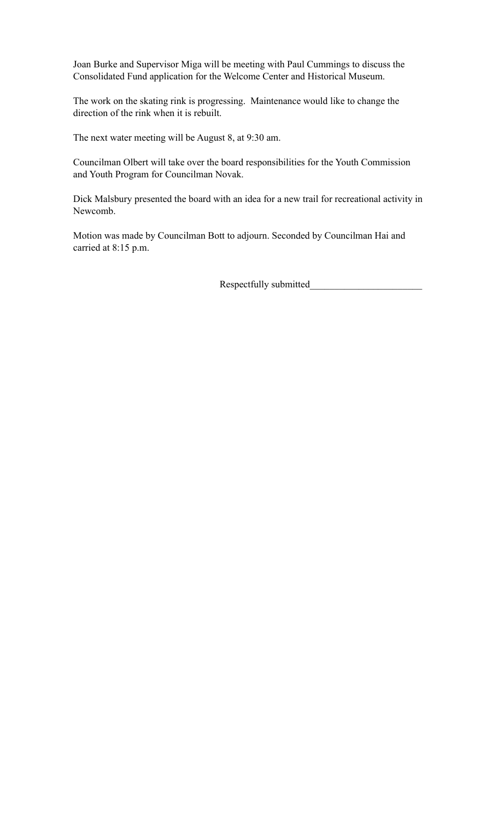Joan Burke and Supervisor Miga will be meeting with Paul Cummings to discuss the Consolidated Fund application for the Welcome Center and Historical Museum.

The work on the skating rink is progressing. Maintenance would like to change the direction of the rink when it is rebuilt.

The next water meeting will be August 8, at 9:30 am.

Councilman Olbert will take over the board responsibilities for the Youth Commission and Youth Program for Councilman Novak.

Dick Malsbury presented the board with an idea for a new trail for recreational activity in Newcomb.

Motion was made by Councilman Bott to adjourn. Seconded by Councilman Hai and carried at 8:15 p.m.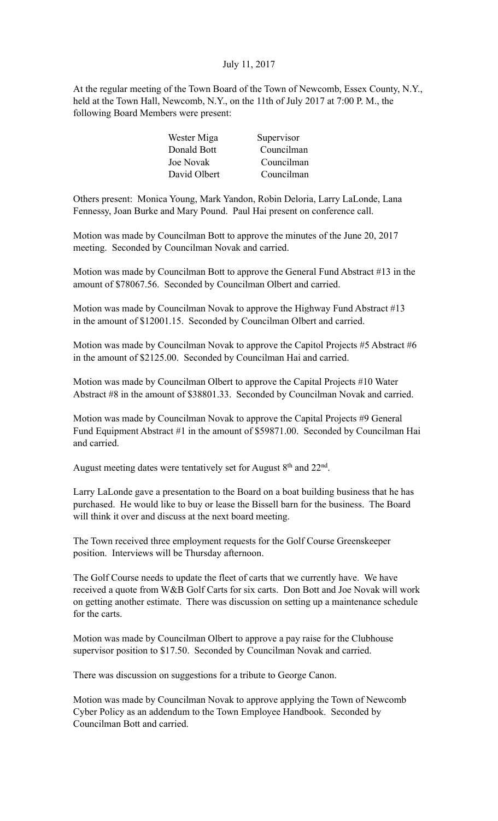# July 11, 2017

At the regular meeting of the Town Board of the Town of Newcomb, Essex County, N.Y., held at the Town Hall, Newcomb, N.Y., on the 11th of July 2017 at 7:00 P. M., the following Board Members were present:

| Wester Miga  | Supervisor |
|--------------|------------|
| Donald Bott  | Councilman |
| Joe Novak    | Councilman |
| David Olbert | Councilman |

Others present: Monica Young, Mark Yandon, Robin Deloria, Larry LaLonde, Lana Fennessy, Joan Burke and Mary Pound. Paul Hai present on conference call.

Motion was made by Councilman Bott to approve the minutes of the June 20, 2017 meeting. Seconded by Councilman Novak and carried.

Motion was made by Councilman Bott to approve the General Fund Abstract #13 in the amount of \$78067.56. Seconded by Councilman Olbert and carried.

Motion was made by Councilman Novak to approve the Highway Fund Abstract #13 in the amount of \$12001.15. Seconded by Councilman Olbert and carried.

Motion was made by Councilman Novak to approve the Capitol Projects #5 Abstract #6 in the amount of \$2125.00. Seconded by Councilman Hai and carried.

Motion was made by Councilman Olbert to approve the Capital Projects #10 Water Abstract #8 in the amount of \$38801.33. Seconded by Councilman Novak and carried.

Motion was made by Councilman Novak to approve the Capital Projects #9 General Fund Equipment Abstract #1 in the amount of \$59871.00. Seconded by Councilman Hai and carried.

August meeting dates were tentatively set for August  $8<sup>th</sup>$  and  $22<sup>nd</sup>$ .

Larry LaLonde gave a presentation to the Board on a boat building business that he has purchased. He would like to buy or lease the Bissell barn for the business. The Board will think it over and discuss at the next board meeting.

The Town received three employment requests for the Golf Course Greenskeeper position. Interviews will be Thursday afternoon.

The Golf Course needs to update the fleet of carts that we currently have. We have received a quote from W&B Golf Carts for six carts. Don Bott and Joe Novak will work on getting another estimate. There was discussion on setting up a maintenance schedule for the carts.

Motion was made by Councilman Olbert to approve a pay raise for the Clubhouse supervisor position to \$17.50. Seconded by Councilman Novak and carried.

There was discussion on suggestions for a tribute to George Canon.

Motion was made by Councilman Novak to approve applying the Town of Newcomb Cyber Policy as an addendum to the Town Employee Handbook. Seconded by Councilman Bott and carried.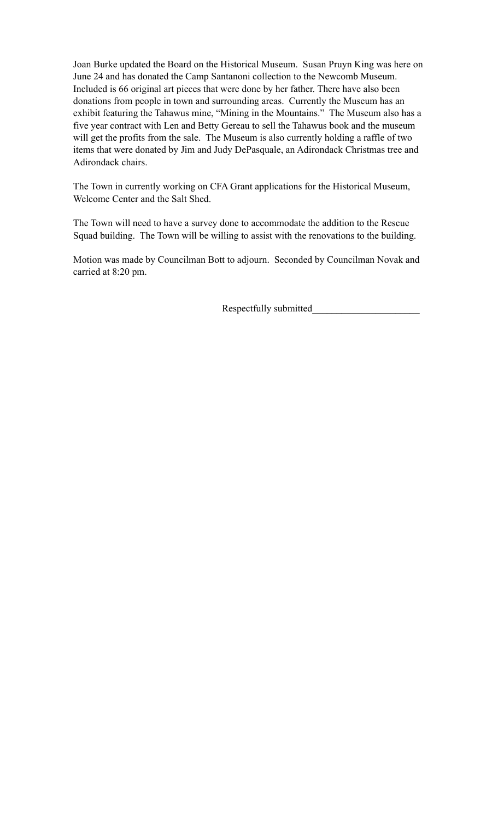Joan Burke updated the Board on the Historical Museum. Susan Pruyn King was here on June 24 and has donated the Camp Santanoni collection to the Newcomb Museum. Included is 66 original art pieces that were done by her father. There have also been donations from people in town and surrounding areas. Currently the Museum has an exhibit featuring the Tahawus mine, "Mining in the Mountains." The Museum also has a five year contract with Len and Betty Gereau to sell the Tahawus book and the museum will get the profits from the sale. The Museum is also currently holding a raffle of two items that were donated by Jim and Judy DePasquale, an Adirondack Christmas tree and Adirondack chairs.

The Town in currently working on CFA Grant applications for the Historical Museum, Welcome Center and the Salt Shed.

The Town will need to have a survey done to accommodate the addition to the Rescue Squad building. The Town will be willing to assist with the renovations to the building.

Motion was made by Councilman Bott to adjourn. Seconded by Councilman Novak and carried at 8:20 pm.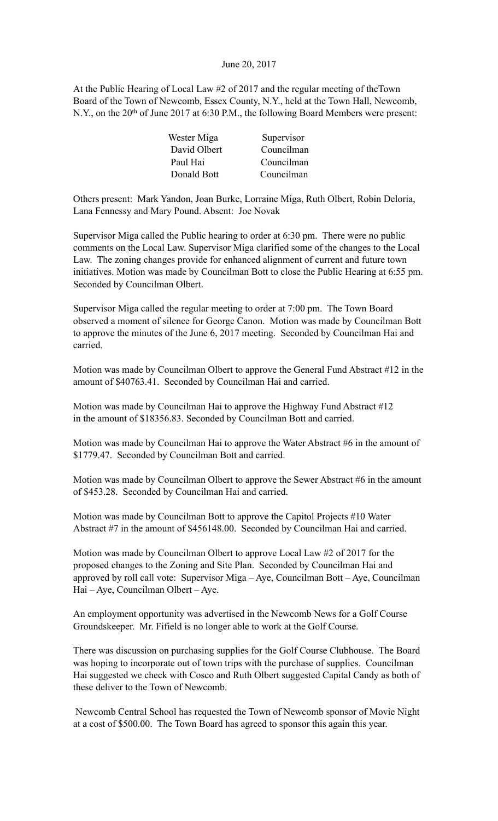#### June 20, 2017

At the Public Hearing of Local Law #2 of 2017 and the regular meeting of theTown Board of the Town of Newcomb, Essex County, N.Y., held at the Town Hall, Newcomb, N.Y., on the 20<sup>th</sup> of June 2017 at 6:30 P.M., the following Board Members were present:

| Wester Miga  | Supervisor |
|--------------|------------|
| David Olbert | Councilman |
| Paul Hai     | Councilman |
| Donald Bott  | Councilman |

Others present: Mark Yandon, Joan Burke, Lorraine Miga, Ruth Olbert, Robin Deloria, Lana Fennessy and Mary Pound. Absent: Joe Novak

Supervisor Miga called the Public hearing to order at 6:30 pm. There were no public comments on the Local Law. Supervisor Miga clarified some of the changes to the Local Law. The zoning changes provide for enhanced alignment of current and future town initiatives. Motion was made by Councilman Bott to close the Public Hearing at 6:55 pm. Seconded by Councilman Olbert.

Supervisor Miga called the regular meeting to order at 7:00 pm. The Town Board observed a moment of silence for George Canon. Motion was made by Councilman Bott to approve the minutes of the June 6, 2017 meeting. Seconded by Councilman Hai and carried.

Motion was made by Councilman Olbert to approve the General Fund Abstract #12 in the amount of \$40763.41. Seconded by Councilman Hai and carried.

Motion was made by Councilman Hai to approve the Highway Fund Abstract #12 in the amount of \$18356.83. Seconded by Councilman Bott and carried.

Motion was made by Councilman Hai to approve the Water Abstract #6 in the amount of \$1779.47. Seconded by Councilman Bott and carried.

Motion was made by Councilman Olbert to approve the Sewer Abstract #6 in the amount of \$453.28. Seconded by Councilman Hai and carried.

Motion was made by Councilman Bott to approve the Capitol Projects #10 Water Abstract #7 in the amount of \$456148.00. Seconded by Councilman Hai and carried.

Motion was made by Councilman Olbert to approve Local Law #2 of 2017 for the proposed changes to the Zoning and Site Plan. Seconded by Councilman Hai and approved by roll call vote: Supervisor Miga – Aye, Councilman Bott – Aye, Councilman Hai – Aye, Councilman Olbert – Aye.

An employment opportunity was advertised in the Newcomb News for a Golf Course Groundskeeper. Mr. Fifield is no longer able to work at the Golf Course.

There was discussion on purchasing supplies for the Golf Course Clubhouse. The Board was hoping to incorporate out of town trips with the purchase of supplies. Councilman Hai suggested we check with Cosco and Ruth Olbert suggested Capital Candy as both of these deliver to the Town of Newcomb.

 Newcomb Central School has requested the Town of Newcomb sponsor of Movie Night at a cost of \$500.00. The Town Board has agreed to sponsor this again this year.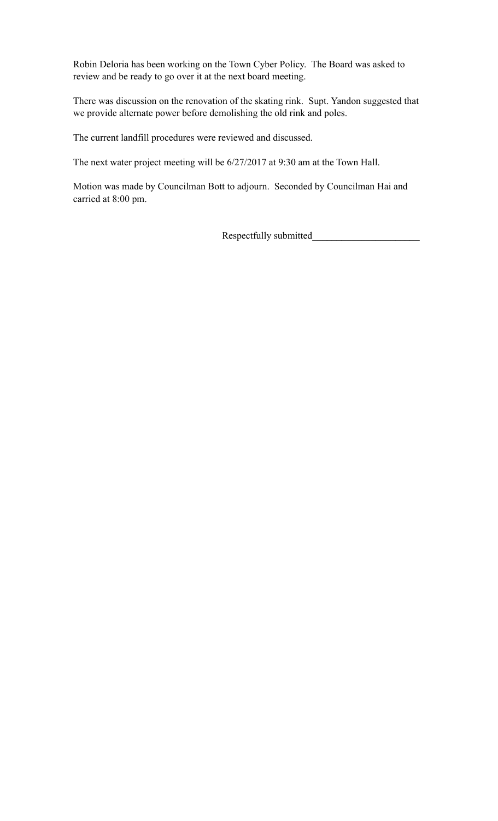Robin Deloria has been working on the Town Cyber Policy. The Board was asked to review and be ready to go over it at the next board meeting.

There was discussion on the renovation of the skating rink. Supt. Yandon suggested that we provide alternate power before demolishing the old rink and poles.

The current landfill procedures were reviewed and discussed.

The next water project meeting will be 6/27/2017 at 9:30 am at the Town Hall.

Motion was made by Councilman Bott to adjourn. Seconded by Councilman Hai and carried at 8:00 pm.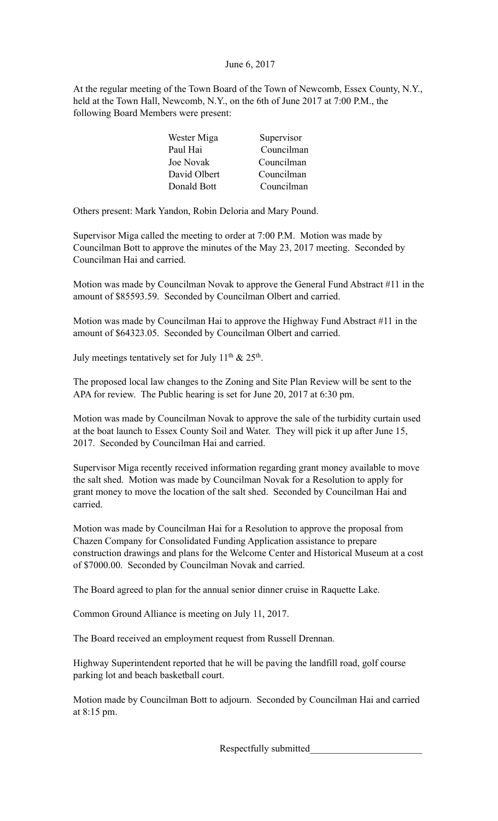# June 6, 2017

At the regular meeting of the Town Board of the Town of Newcomb, Essex County, N.Y., held at the Town Hall, Newcomb, N.Y., on the 6th of June 2017 at 7:00 P.M., the following Board Members were present:

| Wester Miga  | Supervisor |
|--------------|------------|
| Paul Hai     | Councilman |
| Joe Novak    | Councilman |
| David Olbert | Councilman |
| Donald Bott  | Councilman |

Others present: Mark Yandon, Robin Deloria and Mary Pound.

Supervisor Miga called the meeting to order at 7:00 P.M. Motion was made by Councilman Bott to approve the minutes of the May 23, 2017 meeting. Seconded by Councilman Hai and carried.

Motion was made by Councilman Novak to approve the General Fund Abstract #11 in the amount of \$85593.59. Seconded by Councilman Olbert and carried.

Motion was made by Councilman Hai to approve the Highway Fund Abstract #11 in the amount of \$64323.05. Seconded by Councilman Olbert and carried.

July meetings tentatively set for July  $11<sup>th</sup>$  &  $25<sup>th</sup>$ .

The proposed local law changes to the Zoning and Site Plan Review will be sent to the APA for review. The Public hearing is set for June 20, 2017 at 6:30 pm.

Motion was made by Councilman Novak to approve the sale of the turbidity curtain used at the boat launch to Essex County Soil and Water. They will pick it up after June 15, 2017. Seconded by Councilman Hai and carried.

Supervisor Miga recently received information regarding grant money available to move the salt shed. Motion was made by Councilman Novak for a Resolution to apply for grant money to move the location of the salt shed. Seconded by Councilman Hai and carried.

Motion was made by Councilman Hai for a Resolution to approve the proposal from Chazen Company for Consolidated Funding Application assistance to prepare construction drawings and plans for the Welcome Center and Historical Museum at a cost of \$7000.00. Seconded by Councilman Novak and carried.

The Board agreed to plan for the annual senior dinner cruise in Raquette Lake.

Common Ground Alliance is meeting on July 11, 2017.

The Board received an employment request from Russell Drennan.

Highway Superintendent reported that he will be paving the landfill road, golf course parking lot and beach basketball court.

Motion made by Councilman Bott to adjourn. Seconded by Councilman Hai and carried at 8:15 pm.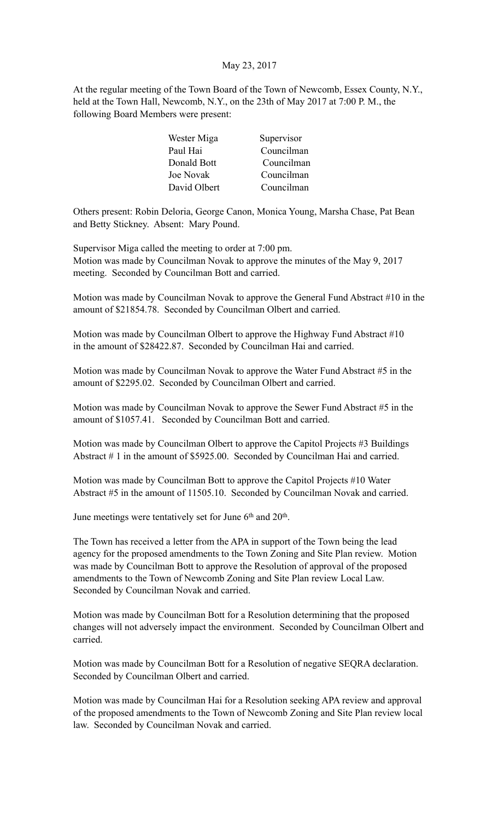## May 23, 2017

At the regular meeting of the Town Board of the Town of Newcomb, Essex County, N.Y., held at the Town Hall, Newcomb, N.Y., on the 23th of May 2017 at 7:00 P. M., the following Board Members were present:

| Wester Miga      | Supervisor |
|------------------|------------|
| Paul Hai         | Councilman |
| Donald Bott      | Councilman |
| <b>Joe Novak</b> | Councilman |
| David Olbert     | Councilman |

Others present: Robin Deloria, George Canon, Monica Young, Marsha Chase, Pat Bean and Betty Stickney. Absent: Mary Pound.

Supervisor Miga called the meeting to order at 7:00 pm. Motion was made by Councilman Novak to approve the minutes of the May 9, 2017 meeting. Seconded by Councilman Bott and carried.

Motion was made by Councilman Novak to approve the General Fund Abstract #10 in the amount of \$21854.78. Seconded by Councilman Olbert and carried.

Motion was made by Councilman Olbert to approve the Highway Fund Abstract #10 in the amount of \$28422.87. Seconded by Councilman Hai and carried.

Motion was made by Councilman Novak to approve the Water Fund Abstract #5 in the amount of \$2295.02. Seconded by Councilman Olbert and carried.

Motion was made by Councilman Novak to approve the Sewer Fund Abstract #5 in the amount of \$1057.41. Seconded by Councilman Bott and carried.

Motion was made by Councilman Olbert to approve the Capitol Projects #3 Buildings Abstract # 1 in the amount of \$5925.00. Seconded by Councilman Hai and carried.

Motion was made by Councilman Bott to approve the Capitol Projects #10 Water Abstract #5 in the amount of 11505.10. Seconded by Councilman Novak and carried.

June meetings were tentatively set for June  $6<sup>th</sup>$  and  $20<sup>th</sup>$ .

The Town has received a letter from the APA in support of the Town being the lead agency for the proposed amendments to the Town Zoning and Site Plan review. Motion was made by Councilman Bott to approve the Resolution of approval of the proposed amendments to the Town of Newcomb Zoning and Site Plan review Local Law. Seconded by Councilman Novak and carried.

Motion was made by Councilman Bott for a Resolution determining that the proposed changes will not adversely impact the environment. Seconded by Councilman Olbert and carried.

Motion was made by Councilman Bott for a Resolution of negative SEQRA declaration. Seconded by Councilman Olbert and carried.

Motion was made by Councilman Hai for a Resolution seeking APA review and approval of the proposed amendments to the Town of Newcomb Zoning and Site Plan review local law. Seconded by Councilman Novak and carried.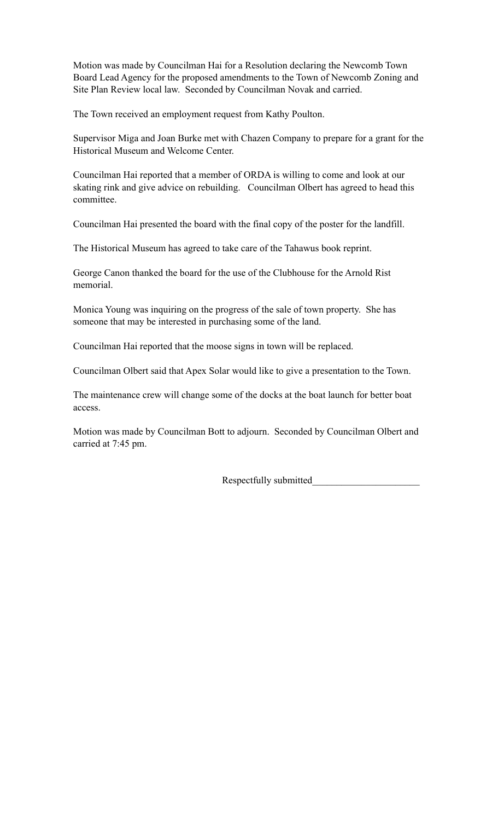Motion was made by Councilman Hai for a Resolution declaring the Newcomb Town Board Lead Agency for the proposed amendments to the Town of Newcomb Zoning and Site Plan Review local law. Seconded by Councilman Novak and carried.

The Town received an employment request from Kathy Poulton.

Supervisor Miga and Joan Burke met with Chazen Company to prepare for a grant for the Historical Museum and Welcome Center.

Councilman Hai reported that a member of ORDA is willing to come and look at our skating rink and give advice on rebuilding. Councilman Olbert has agreed to head this committee.

Councilman Hai presented the board with the final copy of the poster for the landfill.

The Historical Museum has agreed to take care of the Tahawus book reprint.

George Canon thanked the board for the use of the Clubhouse for the Arnold Rist memorial.

Monica Young was inquiring on the progress of the sale of town property. She has someone that may be interested in purchasing some of the land.

Councilman Hai reported that the moose signs in town will be replaced.

Councilman Olbert said that Apex Solar would like to give a presentation to the Town.

The maintenance crew will change some of the docks at the boat launch for better boat access.

Motion was made by Councilman Bott to adjourn. Seconded by Councilman Olbert and carried at 7:45 pm.

Respectfully submitted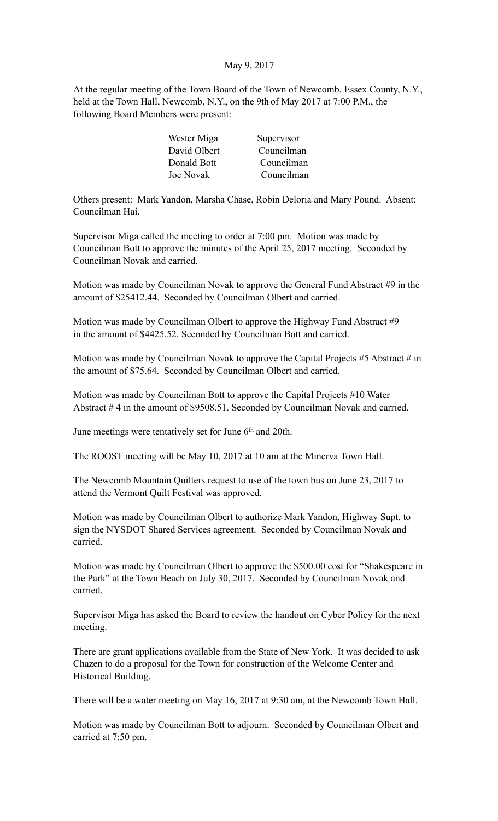## May 9, 2017

At the regular meeting of the Town Board of the Town of Newcomb, Essex County, N.Y., held at the Town Hall, Newcomb, N.Y., on the 9th of May 2017 at 7:00 P.M., the following Board Members were present:

| Wester Miga  | Supervisor |
|--------------|------------|
| David Olbert | Councilman |
| Donald Bott  | Councilman |
| Joe Novak    | Councilman |

Others present: Mark Yandon, Marsha Chase, Robin Deloria and Mary Pound. Absent: Councilman Hai.

Supervisor Miga called the meeting to order at 7:00 pm. Motion was made by Councilman Bott to approve the minutes of the April 25, 2017 meeting. Seconded by Councilman Novak and carried.

Motion was made by Councilman Novak to approve the General Fund Abstract #9 in the amount of \$25412.44. Seconded by Councilman Olbert and carried.

Motion was made by Councilman Olbert to approve the Highway Fund Abstract #9 in the amount of \$4425.52. Seconded by Councilman Bott and carried.

Motion was made by Councilman Novak to approve the Capital Projects #5 Abstract # in the amount of \$75.64. Seconded by Councilman Olbert and carried.

Motion was made by Councilman Bott to approve the Capital Projects #10 Water Abstract # 4 in the amount of \$9508.51. Seconded by Councilman Novak and carried.

June meetings were tentatively set for June 6<sup>th</sup> and 20th.

The ROOST meeting will be May 10, 2017 at 10 am at the Minerva Town Hall.

The Newcomb Mountain Quilters request to use of the town bus on June 23, 2017 to attend the Vermont Quilt Festival was approved.

Motion was made by Councilman Olbert to authorize Mark Yandon, Highway Supt. to sign the NYSDOT Shared Services agreement. Seconded by Councilman Novak and carried.

Motion was made by Councilman Olbert to approve the \$500.00 cost for "Shakespeare in the Park" at the Town Beach on July 30, 2017. Seconded by Councilman Novak and carried.

Supervisor Miga has asked the Board to review the handout on Cyber Policy for the next meeting.

There are grant applications available from the State of New York. It was decided to ask Chazen to do a proposal for the Town for construction of the Welcome Center and Historical Building.

There will be a water meeting on May 16, 2017 at 9:30 am, at the Newcomb Town Hall.

Motion was made by Councilman Bott to adjourn. Seconded by Councilman Olbert and carried at 7:50 pm.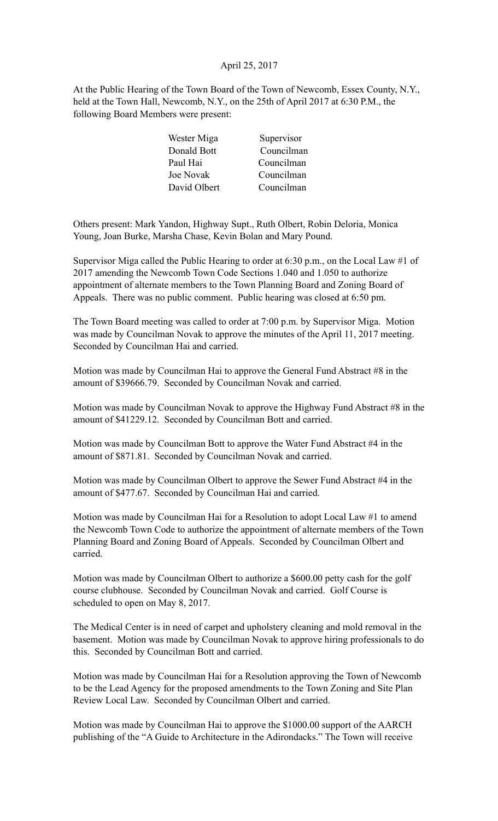# April 25, 2017

At the Public Hearing of the Town Board of the Town of Newcomb, Essex County, N.Y., held at the Town Hall, Newcomb, N.Y., on the 25th of April 2017 at 6:30 P.M., the following Board Members were present:

| Supervisor |
|------------|
| Councilman |
| Councilman |
| Councilman |
| Councilman |
|            |

Others present: Mark Yandon, Highway Supt., Ruth Olbert, Robin Deloria, Monica Young, Joan Burke, Marsha Chase, Kevin Bolan and Mary Pound.

Supervisor Miga called the Public Hearing to order at 6:30 p.m., on the Local Law #1 of 2017 amending the Newcomb Town Code Sections 1.040 and 1.050 to authorize appointment of alternate members to the Town Planning Board and Zoning Board of Appeals. There was no public comment. Public hearing was closed at 6:50 pm.

The Town Board meeting was called to order at 7:00 p.m. by Supervisor Miga. Motion was made by Councilman Novak to approve the minutes of the April 11, 2017 meeting. Seconded by Councilman Hai and carried.

Motion was made by Councilman Hai to approve the General Fund Abstract #8 in the amount of \$39666.79. Seconded by Councilman Novak and carried.

Motion was made by Councilman Novak to approve the Highway Fund Abstract #8 in the amount of \$41229.12. Seconded by Councilman Bott and carried.

Motion was made by Councilman Bott to approve the Water Fund Abstract #4 in the amount of \$871.81. Seconded by Councilman Novak and carried.

Motion was made by Councilman Olbert to approve the Sewer Fund Abstract #4 in the amount of \$477.67. Seconded by Councilman Hai and carried.

Motion was made by Councilman Hai for a Resolution to adopt Local Law #1 to amend the Newcomb Town Code to authorize the appointment of alternate members of the Town Planning Board and Zoning Board of Appeals. Seconded by Councilman Olbert and carried.

Motion was made by Councilman Olbert to authorize a \$600.00 petty cash for the golf course clubhouse. Seconded by Councilman Novak and carried. Golf Course is scheduled to open on May 8, 2017.

The Medical Center is in need of carpet and upholstery cleaning and mold removal in the basement. Motion was made by Councilman Novak to approve hiring professionals to do this. Seconded by Councilman Bott and carried.

Motion was made by Councilman Hai for a Resolution approving the Town of Newcomb to be the Lead Agency for the proposed amendments to the Town Zoning and Site Plan Review Local Law. Seconded by Councilman Olbert and carried.

Motion was made by Councilman Hai to approve the \$1000.00 support of the AARCH publishing of the "A Guide to Architecture in the Adirondacks." The Town will receive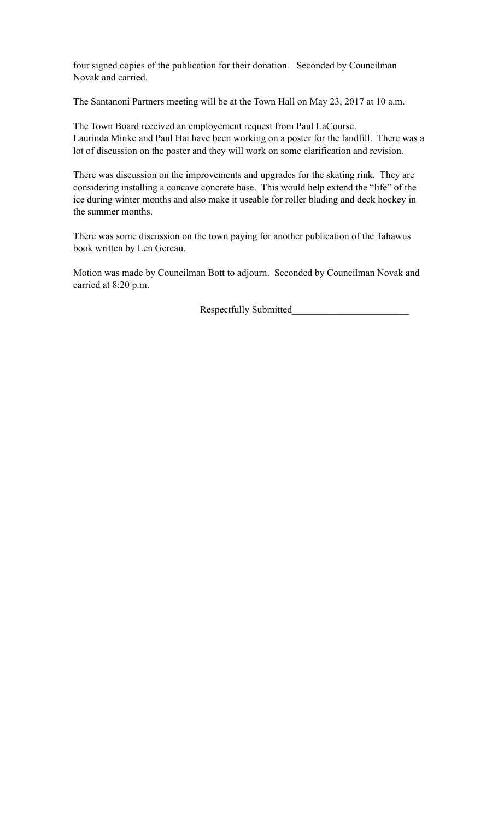four signed copies of the publication for their donation. Seconded by Councilman Novak and carried.

The Santanoni Partners meeting will be at the Town Hall on May 23, 2017 at 10 a.m.

The Town Board received an employement request from Paul LaCourse. Laurinda Minke and Paul Hai have been working on a poster for the landfill. There was a lot of discussion on the poster and they will work on some clarification and revision.

There was discussion on the improvements and upgrades for the skating rink. They are considering installing a concave concrete base. This would help extend the "life" of the ice during winter months and also make it useable for roller blading and deck hockey in the summer months.

There was some discussion on the town paying for another publication of the Tahawus book written by Len Gereau.

Motion was made by Councilman Bott to adjourn. Seconded by Councilman Novak and carried at 8:20 p.m.

Respectfully Submitted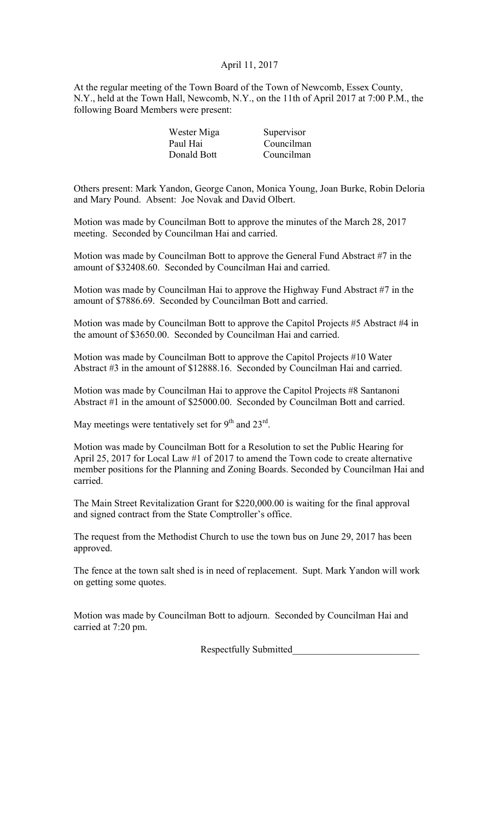# April 11, 2017

At the regular meeting of the Town Board of the Town of Newcomb, Essex County, N.Y., held at the Town Hall, Newcomb, N.Y., on the 11th of April 2017 at 7:00 P.M., the following Board Members were present:

| Supervisor |
|------------|
| Councilman |
| Councilman |
|            |

Others present: Mark Yandon, George Canon, Monica Young, Joan Burke, Robin Deloria and Mary Pound. Absent: Joe Novak and David Olbert.

Motion was made by Councilman Bott to approve the minutes of the March 28, 2017 meeting. Seconded by Councilman Hai and carried.

Motion was made by Councilman Bott to approve the General Fund Abstract #7 in the amount of \$32408.60. Seconded by Councilman Hai and carried.

Motion was made by Councilman Hai to approve the Highway Fund Abstract #7 in the amount of \$7886.69. Seconded by Councilman Bott and carried.

Motion was made by Councilman Bott to approve the Capitol Projects #5 Abstract #4 in the amount of \$3650.00. Seconded by Councilman Hai and carried.

Motion was made by Councilman Bott to approve the Capitol Projects #10 Water Abstract #3 in the amount of \$12888.16. Seconded by Councilman Hai and carried.

Motion was made by Councilman Hai to approve the Capitol Projects #8 Santanoni Abstract #1 in the amount of \$25000.00. Seconded by Councilman Bott and carried.

May meetings were tentatively set for  $9<sup>th</sup>$  and  $23<sup>rd</sup>$ .

Motion was made by Councilman Bott for a Resolution to set the Public Hearing for April 25, 2017 for Local Law #1 of 2017 to amend the Town code to create alternative member positions for the Planning and Zoning Boards. Seconded by Councilman Hai and carried.

The Main Street Revitalization Grant for \$220,000.00 is waiting for the final approval and signed contract from the State Comptroller's office.

The request from the Methodist Church to use the town bus on June 29, 2017 has been approved.

The fence at the town salt shed is in need of replacement. Supt. Mark Yandon will work on getting some quotes.

Motion was made by Councilman Bott to adjourn. Seconded by Councilman Hai and carried at 7:20 pm.

Respectfully Submitted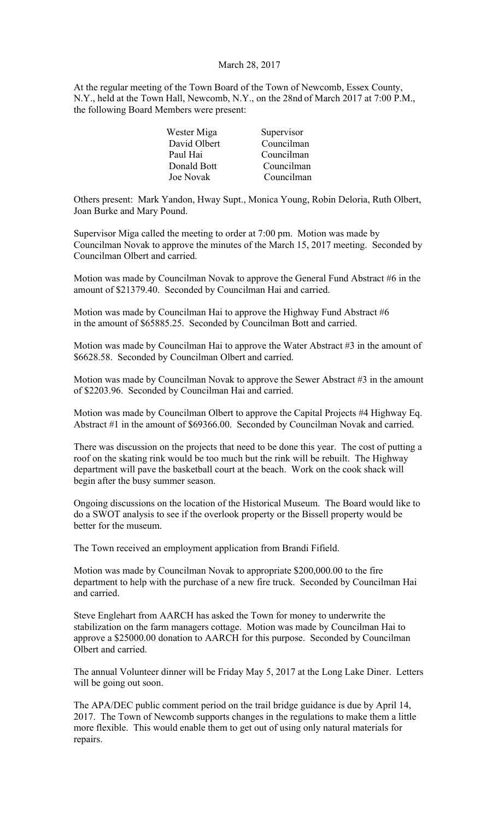#### March 28, 2017

At the regular meeting of the Town Board of the Town of Newcomb, Essex County, N.Y., held at the Town Hall, Newcomb, N.Y., on the 28nd of March 2017 at 7:00 P.M., the following Board Members were present:

| Wester Miga  | Supervisor |
|--------------|------------|
| David Olbert | Councilman |
| Paul Hai     | Councilman |
| Donald Bott  | Councilman |
| Joe Novak    | Councilman |

Others present: Mark Yandon, Hway Supt., Monica Young, Robin Deloria, Ruth Olbert, Joan Burke and Mary Pound.

Supervisor Miga called the meeting to order at 7:00 pm. Motion was made by Councilman Novak to approve the minutes of the March 15, 2017 meeting. Seconded by Councilman Olbert and carried.

Motion was made by Councilman Novak to approve the General Fund Abstract #6 in the amount of \$21379.40. Seconded by Councilman Hai and carried.

Motion was made by Councilman Hai to approve the Highway Fund Abstract #6 in the amount of \$65885.25. Seconded by Councilman Bott and carried.

Motion was made by Councilman Hai to approve the Water Abstract #3 in the amount of \$6628.58. Seconded by Councilman Olbert and carried.

Motion was made by Councilman Novak to approve the Sewer Abstract #3 in the amount of \$2203.96. Seconded by Councilman Hai and carried.

Motion was made by Councilman Olbert to approve the Capital Projects #4 Highway Eq. Abstract #1 in the amount of \$69366.00. Seconded by Councilman Novak and carried.

There was discussion on the projects that need to be done this year. The cost of putting a roof on the skating rink would be too much but the rink will be rebuilt. The Highway department will pave the basketball court at the beach. Work on the cook shack will begin after the busy summer season.

Ongoing discussions on the location of the Historical Museum. The Board would like to do a SWOT analysis to see if the overlook property or the Bissell property would be better for the museum.

The Town received an employment application from Brandi Fifield.

Motion was made by Councilman Novak to appropriate \$200,000.00 to the fire department to help with the purchase of a new fire truck. Seconded by Councilman Hai and carried.

Steve Englehart from AARCH has asked the Town for money to underwrite the stabilization on the farm managers cottage. Motion was made by Councilman Hai to approve a \$25000.00 donation to AARCH for this purpose. Seconded by Councilman Olbert and carried.

The annual Volunteer dinner will be Friday May 5, 2017 at the Long Lake Diner. Letters will be going out soon.

The APA/DEC public comment period on the trail bridge guidance is due by April 14, 2017. The Town of Newcomb supports changes in the regulations to make them a little more flexible. This would enable them to get out of using only natural materials for repairs.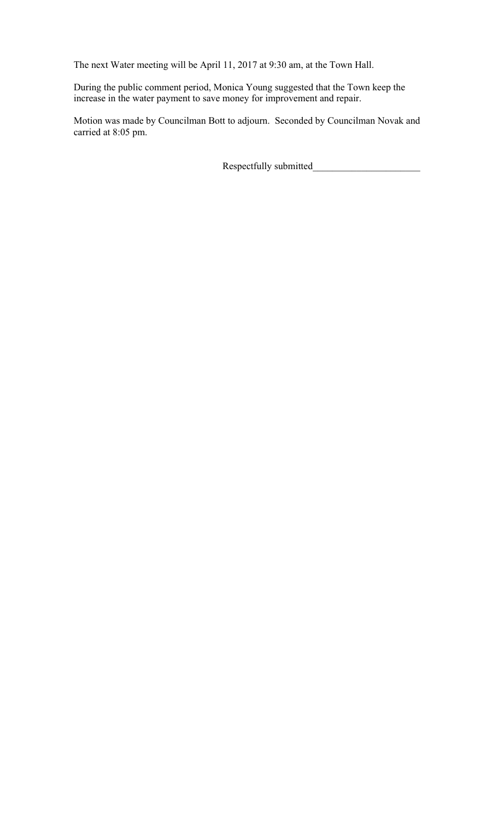The next Water meeting will be April 11, 2017 at 9:30 am, at the Town Hall.

During the public comment period, Monica Young suggested that the Town keep the increase in the water payment to save money for improvement and repair.

Motion was made by Councilman Bott to adjourn. Seconded by Councilman Novak and carried at 8:05 pm.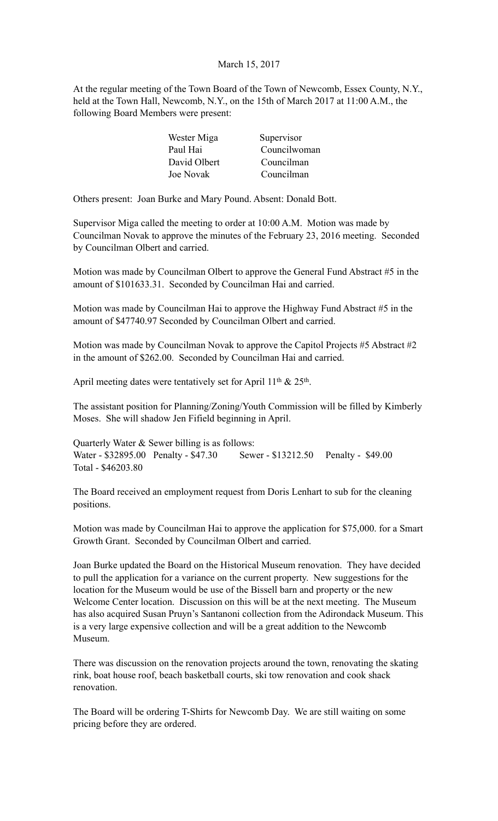# March 15, 2017

At the regular meeting of the Town Board of the Town of Newcomb, Essex County, N.Y., held at the Town Hall, Newcomb, N.Y., on the 15th of March 2017 at 11:00 A.M., the following Board Members were present:

| Wester Miga      | Supervisor   |
|------------------|--------------|
| Paul Hai         | Councilwoman |
| David Olbert     | Councilman   |
| <b>Joe Novak</b> | Councilman   |

Others present: Joan Burke and Mary Pound. Absent: Donald Bott.

Supervisor Miga called the meeting to order at 10:00 A.M. Motion was made by Councilman Novak to approve the minutes of the February 23, 2016 meeting. Seconded by Councilman Olbert and carried.

Motion was made by Councilman Olbert to approve the General Fund Abstract #5 in the amount of \$101633.31. Seconded by Councilman Hai and carried.

Motion was made by Councilman Hai to approve the Highway Fund Abstract #5 in the amount of \$47740.97 Seconded by Councilman Olbert and carried.

Motion was made by Councilman Novak to approve the Capitol Projects #5 Abstract #2 in the amount of \$262.00. Seconded by Councilman Hai and carried.

April meeting dates were tentatively set for April 11<sup>th</sup> & 25<sup>th</sup>.

The assistant position for Planning/Zoning/Youth Commission will be filled by Kimberly Moses. She will shadow Jen Fifield beginning in April.

Quarterly Water & Sewer billing is as follows: Water - \$32895.00 Penalty - \$47.30 Sewer - \$13212.50 Penalty - \$49.00 Total - \$46203.80

The Board received an employment request from Doris Lenhart to sub for the cleaning positions.

Motion was made by Councilman Hai to approve the application for \$75,000. for a Smart Growth Grant. Seconded by Councilman Olbert and carried.

Joan Burke updated the Board on the Historical Museum renovation. They have decided to pull the application for a variance on the current property. New suggestions for the location for the Museum would be use of the Bissell barn and property or the new Welcome Center location. Discussion on this will be at the next meeting. The Museum has also acquired Susan Pruyn's Santanoni collection from the Adirondack Museum. This is a very large expensive collection and will be a great addition to the Newcomb Museum.

There was discussion on the renovation projects around the town, renovating the skating rink, boat house roof, beach basketball courts, ski tow renovation and cook shack renovation.

The Board will be ordering T-Shirts for Newcomb Day. We are still waiting on some pricing before they are ordered.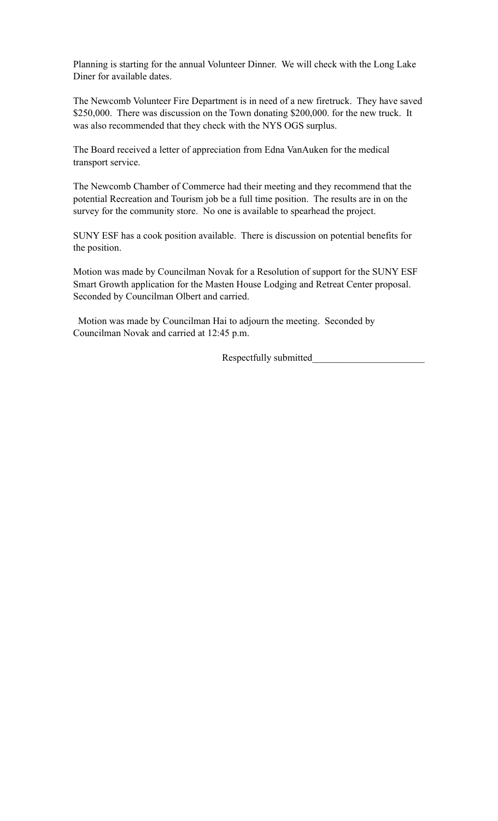Planning is starting for the annual Volunteer Dinner. We will check with the Long Lake Diner for available dates.

The Newcomb Volunteer Fire Department is in need of a new firetruck. They have saved \$250,000. There was discussion on the Town donating \$200,000. for the new truck. It was also recommended that they check with the NYS OGS surplus.

The Board received a letter of appreciation from Edna VanAuken for the medical transport service.

The Newcomb Chamber of Commerce had their meeting and they recommend that the potential Recreation and Tourism job be a full time position. The results are in on the survey for the community store. No one is available to spearhead the project.

SUNY ESF has a cook position available. There is discussion on potential benefits for the position.

Motion was made by Councilman Novak for a Resolution of support for the SUNY ESF Smart Growth application for the Masten House Lodging and Retreat Center proposal. Seconded by Councilman Olbert and carried.

 Motion was made by Councilman Hai to adjourn the meeting. Seconded by Councilman Novak and carried at 12:45 p.m.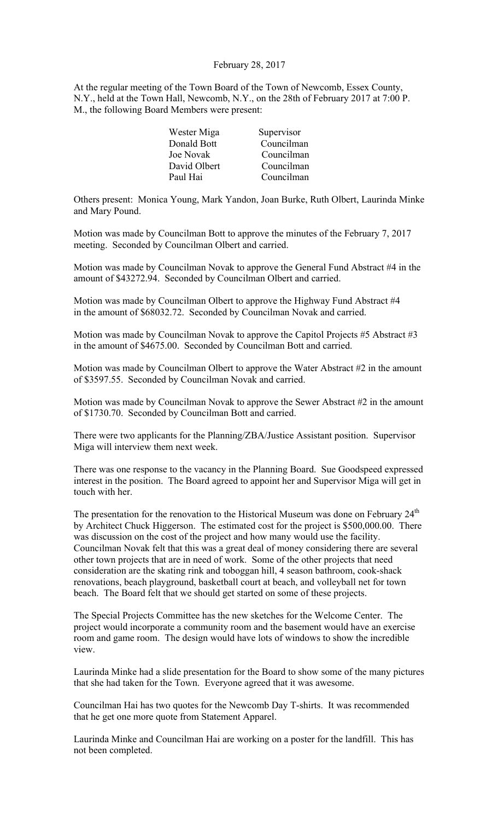## February 28, 2017

At the regular meeting of the Town Board of the Town of Newcomb, Essex County, N.Y., held at the Town Hall, Newcomb, N.Y., on the 28th of February 2017 at 7:00 P. M., the following Board Members were present:

| Supervisor |
|------------|
| Councilman |
| Councilman |
| Councilman |
| Councilman |
|            |

Others present: Monica Young, Mark Yandon, Joan Burke, Ruth Olbert, Laurinda Minke and Mary Pound.

Motion was made by Councilman Bott to approve the minutes of the February 7, 2017 meeting. Seconded by Councilman Olbert and carried.

Motion was made by Councilman Novak to approve the General Fund Abstract #4 in the amount of \$43272.94. Seconded by Councilman Olbert and carried.

Motion was made by Councilman Olbert to approve the Highway Fund Abstract #4 in the amount of \$68032.72. Seconded by Councilman Novak and carried.

Motion was made by Councilman Novak to approve the Capitol Projects #5 Abstract #3 in the amount of \$4675.00. Seconded by Councilman Bott and carried.

Motion was made by Councilman Olbert to approve the Water Abstract #2 in the amount of \$3597.55. Seconded by Councilman Novak and carried.

Motion was made by Councilman Novak to approve the Sewer Abstract #2 in the amount of \$1730.70. Seconded by Councilman Bott and carried.

There were two applicants for the Planning/ZBA/Justice Assistant position. Supervisor Miga will interview them next week.

There was one response to the vacancy in the Planning Board. Sue Goodspeed expressed interest in the position. The Board agreed to appoint her and Supervisor Miga will get in touch with her.

The presentation for the renovation to the Historical Museum was done on February 24<sup>th</sup> by Architect Chuck Higgerson. The estimated cost for the project is \$500,000.00. There was discussion on the cost of the project and how many would use the facility. Councilman Novak felt that this was a great deal of money considering there are several other town projects that are in need of work. Some of the other projects that need consideration are the skating rink and toboggan hill, 4 season bathroom, cook-shack renovations, beach playground, basketball court at beach, and volleyball net for town beach. The Board felt that we should get started on some of these projects.

The Special Projects Committee has the new sketches for the Welcome Center. The project would incorporate a community room and the basement would have an exercise room and game room. The design would have lots of windows to show the incredible view.

Laurinda Minke had a slide presentation for the Board to show some of the many pictures that she had taken for the Town. Everyone agreed that it was awesome.

Councilman Hai has two quotes for the Newcomb Day T-shirts. It was recommended that he get one more quote from Statement Apparel.

Laurinda Minke and Councilman Hai are working on a poster for the landfill. This has not been completed.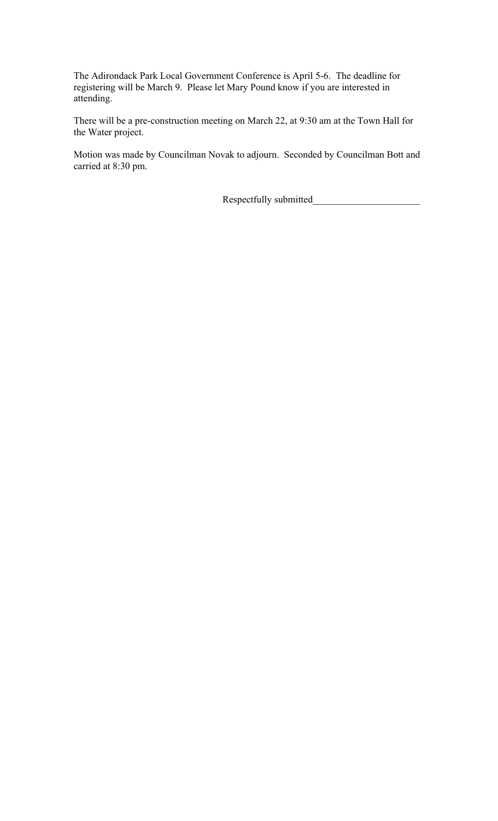The Adirondack Park Local Government Conference is April 5-6. The deadline for registering will be March 9. Please let Mary Pound know if you are interested in attending.

There will be a pre-construction meeting on March 22, at 9:30 am at the Town Hall for the Water project.

Motion was made by Councilman Novak to adjourn. Seconded by Councilman Bott and carried at 8:30 pm.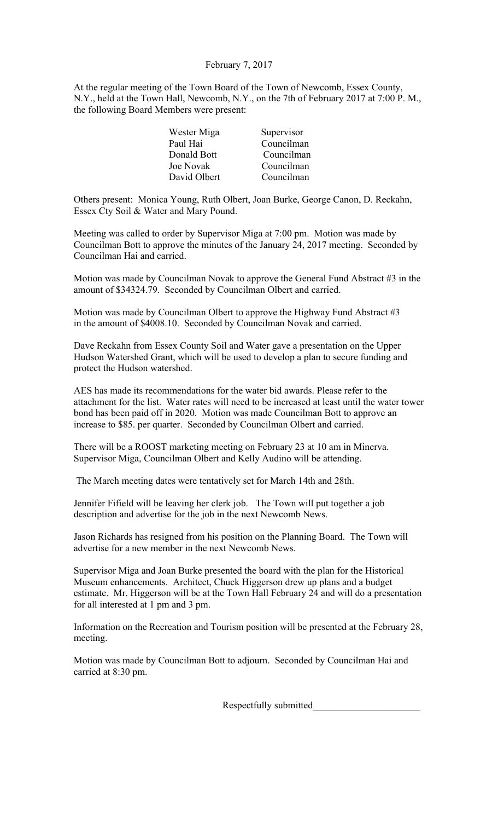# February 7, 2017

At the regular meeting of the Town Board of the Town of Newcomb, Essex County, N.Y., held at the Town Hall, Newcomb, N.Y., on the 7th of February 2017 at 7:00 P. M., the following Board Members were present:

| Supervisor |
|------------|
| Councilman |
| Councilman |
| Councilman |
| Councilman |
|            |

Others present: Monica Young, Ruth Olbert, Joan Burke, George Canon, D. Reckahn, Essex Cty Soil & Water and Mary Pound.

Meeting was called to order by Supervisor Miga at 7:00 pm. Motion was made by Councilman Bott to approve the minutes of the January 24, 2017 meeting. Seconded by Councilman Hai and carried.

Motion was made by Councilman Novak to approve the General Fund Abstract #3 in the amount of \$34324.79. Seconded by Councilman Olbert and carried.

Motion was made by Councilman Olbert to approve the Highway Fund Abstract #3 in the amount of \$4008.10. Seconded by Councilman Novak and carried.

Dave Reckahn from Essex County Soil and Water gave a presentation on the Upper Hudson Watershed Grant, which will be used to develop a plan to secure funding and protect the Hudson watershed.

AES has made its recommendations for the water bid awards. Please refer to the attachment for the list. Water rates will need to be increased at least until the water tower bond has been paid off in 2020. Motion was made Councilman Bott to approve an increase to \$85. per quarter. Seconded by Councilman Olbert and carried.

There will be a ROOST marketing meeting on February 23 at 10 am in Minerva. Supervisor Miga, Councilman Olbert and Kelly Audino will be attending.

The March meeting dates were tentatively set for March 14th and 28th.

Jennifer Fifield will be leaving her clerk job. The Town will put together a job description and advertise for the job in the next Newcomb News.

Jason Richards has resigned from his position on the Planning Board. The Town will advertise for a new member in the next Newcomb News.

Supervisor Miga and Joan Burke presented the board with the plan for the Historical Museum enhancements. Architect, Chuck Higgerson drew up plans and a budget estimate. Mr. Higgerson will be at the Town Hall February 24 and will do a presentation for all interested at 1 pm and 3 pm.

Information on the Recreation and Tourism position will be presented at the February 28, meeting.

Motion was made by Councilman Bott to adjourn. Seconded by Councilman Hai and carried at 8:30 pm.

Respectfully submitted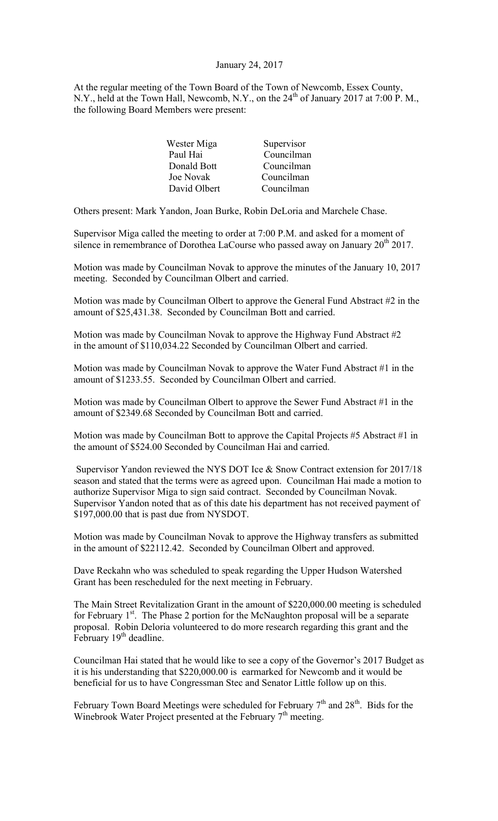#### January 24, 2017

At the regular meeting of the Town Board of the Town of Newcomb, Essex County, N.Y., held at the Town Hall, Newcomb, N.Y., on the 24<sup>th</sup> of January 2017 at 7:00 P.M., the following Board Members were present:

| Wester Miga  | Supervisor |
|--------------|------------|
| Paul Hai     | Councilman |
| Donald Bott  | Councilman |
| Joe Novak    | Councilman |
| David Olbert | Councilman |

Others present: Mark Yandon, Joan Burke, Robin DeLoria and Marchele Chase.

Supervisor Miga called the meeting to order at 7:00 P.M. and asked for a moment of silence in remembrance of Dorothea LaCourse who passed away on January  $20^{th}$  2017.

Motion was made by Councilman Novak to approve the minutes of the January 10, 2017 meeting. Seconded by Councilman Olbert and carried.

Motion was made by Councilman Olbert to approve the General Fund Abstract #2 in the amount of \$25,431.38. Seconded by Councilman Bott and carried.

Motion was made by Councilman Novak to approve the Highway Fund Abstract #2 in the amount of \$110,034.22 Seconded by Councilman Olbert and carried.

Motion was made by Councilman Novak to approve the Water Fund Abstract #1 in the amount of \$1233.55. Seconded by Councilman Olbert and carried.

Motion was made by Councilman Olbert to approve the Sewer Fund Abstract #1 in the amount of \$2349.68 Seconded by Councilman Bott and carried.

Motion was made by Councilman Bott to approve the Capital Projects #5 Abstract #1 in the amount of \$524.00 Seconded by Councilman Hai and carried.

Supervisor Yandon reviewed the NYS DOT Ice & Snow Contract extension for 2017/18 season and stated that the terms were as agreed upon. Councilman Hai made a motion to authorize Supervisor Miga to sign said contract. Seconded by Councilman Novak. Supervisor Yandon noted that as of this date his department has not received payment of \$197,000.00 that is past due from NYSDOT.

Motion was made by Councilman Novak to approve the Highway transfers as submitted in the amount of \$22112.42. Seconded by Councilman Olbert and approved.

Dave Reckahn who was scheduled to speak regarding the Upper Hudson Watershed Grant has been rescheduled for the next meeting in February.

The Main Street Revitalization Grant in the amount of \$220,000.00 meeting is scheduled for February  $1<sup>st</sup>$ . The Phase 2 portion for the McNaughton proposal will be a separate proposal. Robin Deloria volunteered to do more research regarding this grant and the February 19<sup>th</sup> deadline.

Councilman Hai stated that he would like to see a copy of the Governor's 2017 Budget as it is his understanding that \$220,000.00 is earmarked for Newcomb and it would be beneficial for us to have Congressman Stec and Senator Little follow up on this.

February Town Board Meetings were scheduled for February  $7<sup>th</sup>$  and  $28<sup>th</sup>$ . Bids for the Winebrook Water Project presented at the February 7<sup>th</sup> meeting.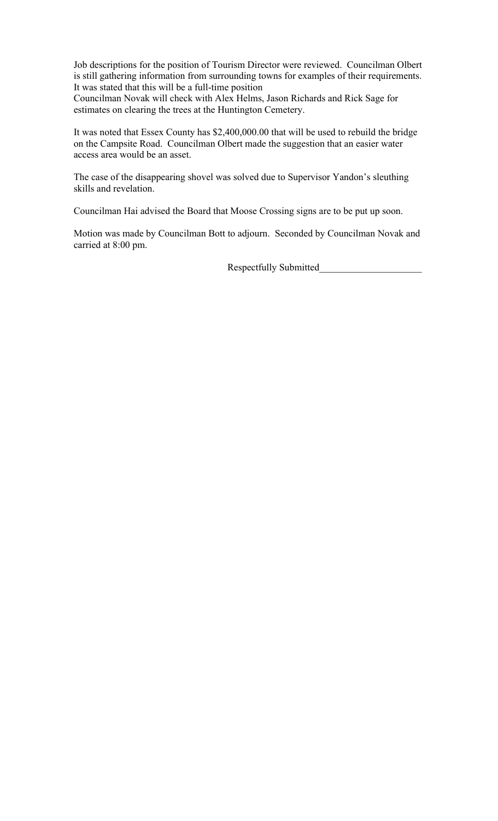Job descriptions for the position of Tourism Director were reviewed. Councilman Olbert is still gathering information from surrounding towns for examples of their requirements. It was stated that this will be a full-time position

Councilman Novak will check with Alex Helms, Jason Richards and Rick Sage for estimates on clearing the trees at the Huntington Cemetery.

It was noted that Essex County has \$2,400,000.00 that will be used to rebuild the bridge on the Campsite Road. Councilman Olbert made the suggestion that an easier water access area would be an asset.

The case of the disappearing shovel was solved due to Supervisor Yandon's sleuthing skills and revelation.

Councilman Hai advised the Board that Moose Crossing signs are to be put up soon.

Motion was made by Councilman Bott to adjourn. Seconded by Councilman Novak and carried at 8:00 pm.

Respectfully Submitted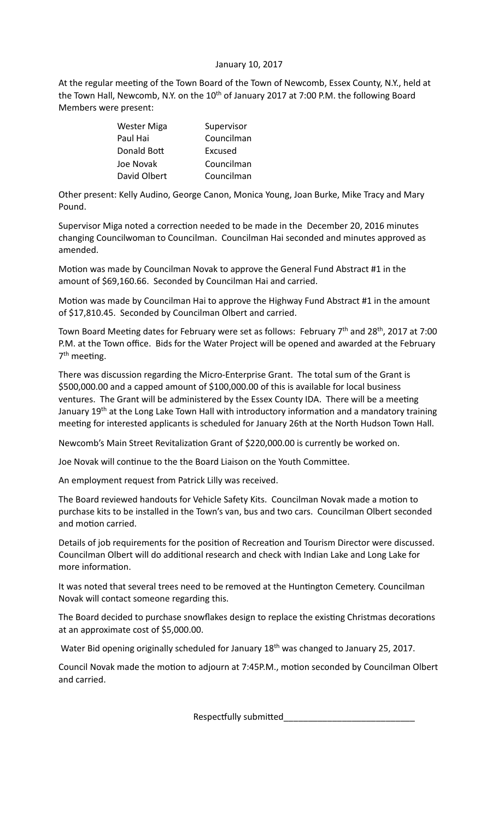# January 10, 2017

At the regular meeting of the Town Board of the Town of Newcomb, Essex County, N.Y., held at the Town Hall, Newcomb, N.Y. on the  $10<sup>th</sup>$  of January 2017 at 7:00 P.M. the following Board Members were present:

| Wester Miga  | Supervisor |
|--------------|------------|
| Paul Hai     | Councilman |
| Donald Bott  | Excused    |
| Joe Novak    | Councilman |
| David Olbert | Councilman |

Other present: Kelly Audino, George Canon, Monica Young, Joan Burke, Mike Tracy and Mary Pound.

Supervisor Miga noted a correction needed to be made in the December 20, 2016 minutes changing Councilwoman to Councilman. Councilman Hai seconded and minutes approved as amended.

Motion was made by Councilman Novak to approve the General Fund Abstract #1 in the amount of \$69,160.66. Seconded by Councilman Hai and carried.

Motion was made by Councilman Hai to approve the Highway Fund Abstract  $#1$  in the amount of \$17,810.45. Seconded by Councilman Olbert and carried.

Town Board Meeting dates for February were set as follows: February 7<sup>th</sup> and 28<sup>th</sup>, 2017 at 7:00 P.M. at the Town office. Bids for the Water Project will be opened and awarded at the February 7<sup>th</sup> meeting.

There was discussion regarding the Micro-Enterprise Grant. The total sum of the Grant is \$500,000.00 and a capped amount of \$100,000.00 of this is available for local business ventures. The Grant will be administered by the Essex County IDA. There will be a meeting January 19<sup>th</sup> at the Long Lake Town Hall with introductory information and a mandatory training meeting for interested applicants is scheduled for January 26th at the North Hudson Town Hall.

Newcomb's Main Street Revitalization Grant of \$220,000.00 is currently be worked on.

Joe Novak will continue to the the Board Liaison on the Youth Committee.

An employment request from Patrick Lilly was received.

The Board reviewed handouts for Vehicle Safety Kits. Councilman Novak made a motion to purchase kits to be installed in the Town's van, bus and two cars. Councilman Olbert seconded and motion carried.

Details of job requirements for the position of Recreation and Tourism Director were discussed. Councilman Olbert will do additional research and check with Indian Lake and Long Lake for more information

It was noted that several trees need to be removed at the Huntington Cemetery. Councilman Novak will contact someone regarding this.

The Board decided to purchase snowflakes design to replace the existing Christmas decorations at an approximate cost of \$5,000.00.

Water Bid opening originally scheduled for January  $18<sup>th</sup>$  was changed to January 25, 2017.

Council Novak made the motion to adjourn at 7:45P.M., motion seconded by Councilman Olbert and carried.

 Respecfully submiNed\_\_\_\_\_\_\_\_\_\_\_\_\_\_\_\_\_\_\_\_\_\_\_\_\_\_\_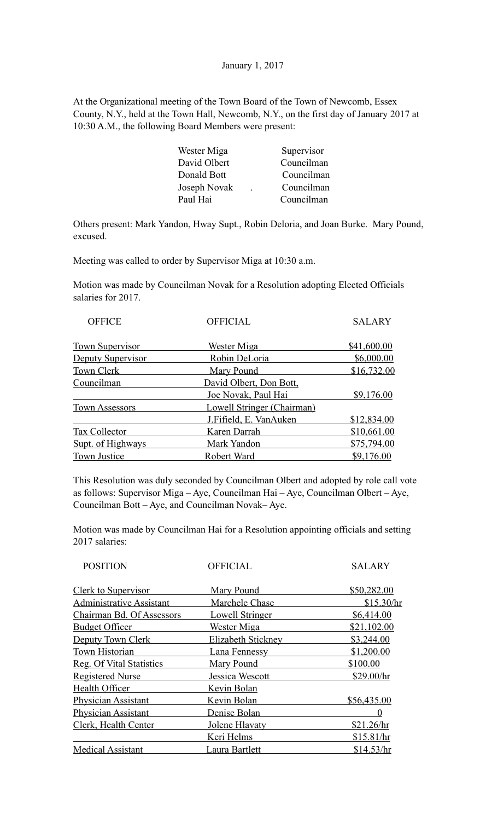## January 1, 2017

At the Organizational meeting of the Town Board of the Town of Newcomb, Essex County, N.Y., held at the Town Hall, Newcomb, N.Y., on the first day of January 2017 at 10:30 A.M., the following Board Members were present:

| Wester Miga  | Supervisor |
|--------------|------------|
| David Olbert | Councilman |
| Donald Bott  | Councilman |
| Joseph Novak | Councilman |
| Paul Hai     | Councilman |
|              |            |

Others present: Mark Yandon, Hway Supt., Robin Deloria, and Joan Burke. Mary Pound, excused.

Meeting was called to order by Supervisor Miga at 10:30 a.m.

Motion was made by Councilman Novak for a Resolution adopting Elected Officials salaries for 2017.

| <b>OFFICE</b>          | <b>OFFICIAL</b>            | <b>SALARY</b> |
|------------------------|----------------------------|---------------|
| <b>Town Supervisor</b> | <u>Wester Miga</u>         | \$41,600.00   |
| Deputy Supervisor      | Robin DeLoria              | \$6,000.00    |
| Town Clerk             | Mary Pound                 | \$16,732.00   |
| Councilman             | David Olbert, Don Bott,    |               |
|                        | Joe Novak, Paul Hai        | \$9,176.00    |
| <b>Town Assessors</b>  | Lowell Stringer (Chairman) |               |
|                        | J.Fifield, E. VanAuken     | \$12,834.00   |
| Tax Collector          | Karen Darrah               | \$10,661.00   |
| Supt. of Highways      | Mark Yandon                | \$75,794.00   |
| Town Justice           | Robert Ward                | \$9,176.00    |

This Resolution was duly seconded by Councilman Olbert and adopted by role call vote as follows: Supervisor Miga – Aye, Councilman Hai – Aye, Councilman Olbert – Aye, Councilman Bott – Aye, and Councilman Novak– Aye.

Motion was made by Councilman Hai for a Resolution appointing officials and setting 2017 salaries:

| <b>POSITION</b>                 | <b>OFFICIAL</b>        | <b>SALARY</b> |
|---------------------------------|------------------------|---------------|
| <b>Clerk to Supervisor</b>      | <b>Mary Pound</b>      | \$50,282.00   |
| <b>Administrative Assistant</b> | Marchele Chase         | \$15.30/hr    |
| Chairman Bd. Of Assessors       | <b>Lowell Stringer</b> | \$6,414.00    |
| <b>Budget Officer</b>           | <u>Wester Miga</u>     | \$21,102.00   |
| Deputy Town Clerk               | Elizabeth Stickney     | \$3,244.00    |
| Town Historian                  | <b>Lana Fennessy</b>   | \$1,200.00    |
| <b>Reg. Of Vital Statistics</b> | Mary Pound             | \$100.00      |
| <b>Registered Nurse</b>         | Jessica Wescott        | \$29.00/hr    |
| Health Officer                  | Kevin Bolan            |               |
| <b>Physician Assistant</b>      | Kevin Bolan            | \$56,435.00   |
| <b>Physician Assistant</b>      | Denise Bolan           | $\theta$      |
| Clerk, Health Center            | Jolene Hlavaty         | \$21.26/hr    |
|                                 | Keri Helms             | \$15.81/hr    |
| <b>Medical Assistant</b>        | Laura Bartlett         | \$14.53/hr    |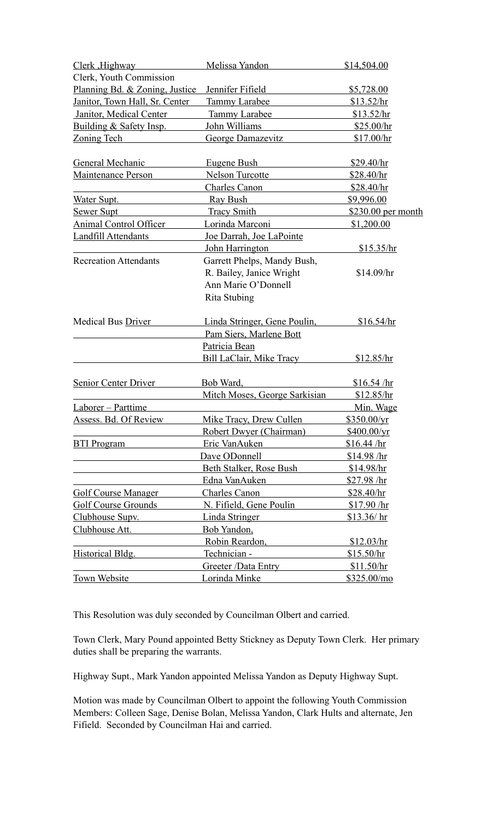| Clerk, Highway                 | Melissa Yandon                  | \$14,504.00         |
|--------------------------------|---------------------------------|---------------------|
| Clerk, Youth Commission        |                                 |                     |
| Planning Bd. & Zoning, Justice | Jennifer Fifield                | \$5,728.00          |
| Janitor, Town Hall, Sr. Center | Tammy Larabee                   | \$13.52/hr          |
| <b>Janitor, Medical Center</b> | <b>Tammy Larabee</b>            | \$13.52/hr          |
| Building & Safety Insp.        | John Williams                   | \$25.00/hr          |
| <b>Zoning Tech</b>             | George Damazevitz               | \$17.00/hr          |
|                                |                                 |                     |
| General Mechanic               | Eugene Bush                     | \$29.40/hr          |
| <b>Maintenance Person</b>      | Nelson Turcotte                 | \$28.40/hr          |
|                                | <b>Charles Canon</b>            | \$28.40/hr          |
| Water Supt.                    | Ray Bush                        | \$9,996.00          |
| Sewer Supt                     | Tracy Smith                     | \$230.00 per month  |
| Animal Control Officer         | Lorinda Marconi                 | \$1,200.00          |
| <b>Landfill Attendants</b>     | Joe Darrah, Joe LaPointe        |                     |
|                                | John Harrington                 | \$15.35/hr          |
| <b>Recreation Attendants</b>   | Garrett Phelps, Mandy Bush,     |                     |
|                                | R. Bailey, Janice Wright        | \$14.09/hr          |
|                                | Ann Marie O'Donnell             |                     |
|                                | Rita Stubing                    |                     |
| Medical Bus Driver             | Linda Stringer, Gene Poulin,    | \$16.54/hr          |
|                                | Pam Siers, Marlene Bott         |                     |
|                                | Patricia Bean                   |                     |
|                                | <b>Bill LaClair, Mike Tracy</b> | \$12.85/hr          |
|                                |                                 |                     |
| Senior Center Driver           | Bob Ward,                       | \$16.54 / hr        |
|                                | Mitch Moses, George Sarkisian   | \$12.85/hr          |
| Laborer - Parttime             |                                 | Min. Wage           |
| <b>Assess. Bd. Of Review</b>   | Mike Tracy, Drew Cullen         | \$350.00/yr         |
|                                | Robert Dwyer (Chairman)         | $$400.00/\text{yr}$ |
| <b>BTI Program</b>             | Eric VanAuken                   | \$16.44 / hr        |
|                                | Dave ODonnell                   | \$14.98 / hr        |
|                                | Beth Stalker, Rose Bush         | \$14.98/hr          |
|                                | Edna VanAuken                   | $$27.98$ /hr        |
| <b>Golf Course Manager</b>     | <b>Charles Canon</b>            | \$28.40/hr          |
| <b>Golf Course Grounds</b>     | N. Fifield, Gene Poulin         | \$17.90 / hr        |
| Clubhouse Supy.                | Linda Stringer                  | \$13.36/ hr         |
| Clubhouse Att.                 | Bob Yandon,                     |                     |
|                                | Robin Reardon,                  | \$12.03/hr          |
| Historical Bldg.               | Technician -                    | \$15.50/hr          |
|                                | Greeter /Data Entry             | \$11.50/hr          |
| Town Website                   | Lorinda Minke                   | \$325.00/mo         |

This Resolution was duly seconded by Councilman Olbert and carried.

Town Clerk, Mary Pound appointed Betty Stickney as Deputy Town Clerk. Her primary duties shall be preparing the warrants.

Highway Supt., Mark Yandon appointed Melissa Yandon as Deputy Highway Supt.

Motion was made by Councilman Olbert to appoint the following Youth Commission Members: Colleen Sage, Denise Bolan, Melissa Yandon, Clark Hults and alternate, Jen Fifield. Seconded by Councilman Hai and carried.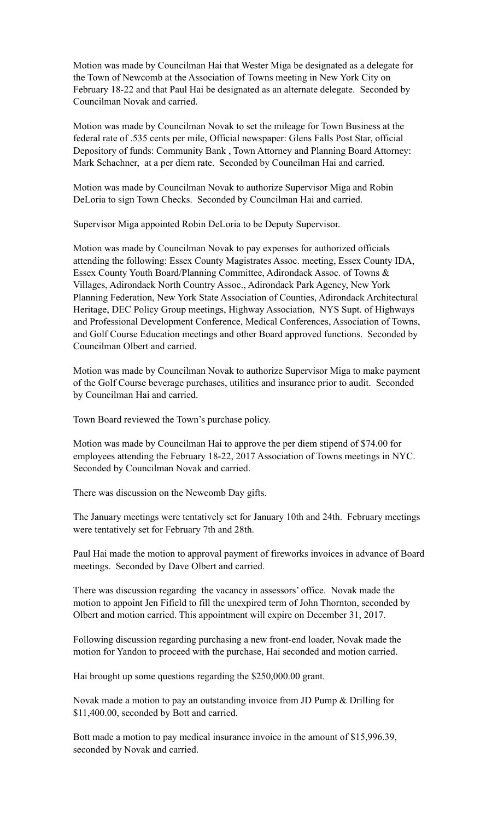Motion was made by Councilman Hai that Wester Miga be designated as a delegate for the Town of Newcomb at the Association of Towns meeting in New York City on February 18-22 and that Paul Hai be designated as an alternate delegate. Seconded by Councilman Novak and carried.

Motion was made by Councilman Novak to set the mileage for Town Business at the federal rate of .535 cents per mile, Official newspaper: Glens Falls Post Star, official Depository of funds: Community Bank , Town Attorney and Planning Board Attorney: Mark Schachner, at a per diem rate. Seconded by Councilman Hai and carried.

Motion was made by Councilman Novak to authorize Supervisor Miga and Robin DeLoria to sign Town Checks. Seconded by Councilman Hai and carried.

Supervisor Miga appointed Robin DeLoria to be Deputy Supervisor.

Motion was made by Councilman Novak to pay expenses for authorized officials attending the following: Essex County Magistrates Assoc. meeting, Essex County IDA, Essex County Youth Board/Planning Committee, Adirondack Assoc. of Towns & Villages, Adirondack North Country Assoc., Adirondack Park Agency, New York Planning Federation, New York State Association of Counties, Adirondack Architectural Heritage, DEC Policy Group meetings, Highway Association, NYS Supt. of Highways and Professional Development Conference, Medical Conferences, Association of Towns, and Golf Course Education meetings and other Board approved functions. Seconded by Councilman Olbert and carried.

Motion was made by Councilman Novak to authorize Supervisor Miga to make payment of the Golf Course beverage purchases, utilities and insurance prior to audit. Seconded by Councilman Hai and carried.

Town Board reviewed the Town's purchase policy.

Motion was made by Councilman Hai to approve the per diem stipend of \$74.00 for employees attending the February 18-22, 2017 Association of Towns meetings in NYC. Seconded by Councilman Novak and carried.

There was discussion on the Newcomb Day gifts.

The January meetings were tentatively set for January 10th and 24th. February meetings were tentatively set for February 7th and 28th.

Paul Hai made the motion to approval payment of fireworks invoices in advance of Board meetings. Seconded by Dave Olbert and carried.

There was discussion regarding the vacancy in assessors' office. Novak made the motion to appoint Jen Fifield to fill the unexpired term of John Thornton, seconded by Olbert and motion carried. This appointment will expire on December 31, 2017.

Following discussion regarding purchasing a new front-end loader, Novak made the motion for Yandon to proceed with the purchase, Hai seconded and motion carried.

Hai brought up some questions regarding the \$250,000.00 grant.

Novak made a motion to pay an outstanding invoice from JD Pump & Drilling for \$11,400.00, seconded by Bott and carried.

Bott made a motion to pay medical insurance invoice in the amount of \$15,996.39, seconded by Novak and carried.